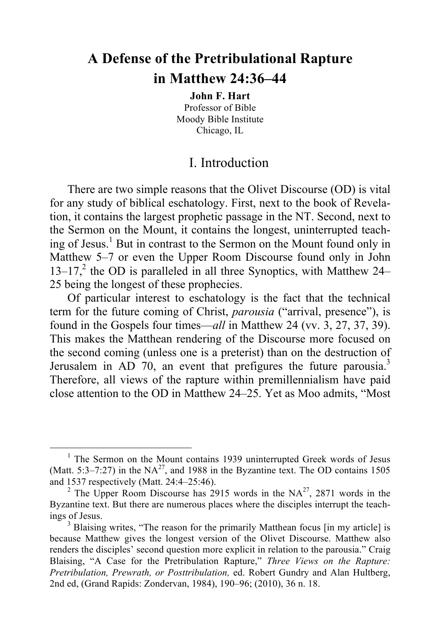# **A Defense of the Pretribulational Rapture in Matthew 24:36–44**

**John F. Hart** Professor of Bible Moody Bible Institute Chicago, IL

# I. Introduction

There are two simple reasons that the Olivet Discourse (OD) is vital for any study of biblical eschatology. First, next to the book of Revelation, it contains the largest prophetic passage in the NT. Second, next to the Sermon on the Mount, it contains the longest, uninterrupted teaching of Jesus. <sup>1</sup> But in contrast to the Sermon on the Mount found only in Matthew 5–7 or even the Upper Room Discourse found only in John  $13-17$ <sup>2</sup>, the OD is paralleled in all three Synoptics, with Matthew 24– 25 being the longest of these prophecies.

Of particular interest to eschatology is the fact that the technical term for the future coming of Christ, *parousia* ("arrival, presence"), is found in the Gospels four times—*all* in Matthew 24 (vv. 3, 27, 37, 39). This makes the Matthean rendering of the Discourse more focused on the second coming (unless one is a preterist) than on the destruction of Jerusalem in AD 70, an event that prefigures the future parousia.<sup>3</sup> Therefore, all views of the rapture within premillennialism have paid close attention to the OD in Matthew 24–25. Yet as Moo admits, "Most

<sup>&</sup>lt;sup>1</sup> The Sermon on the Mount contains 1939 uninterrupted Greek words of Jesus (Matt. 5:3–7:27) in the  $NA^{27}$ , and 1988 in the Byzantine text. The OD contains 1505 and 1537 respectively (Matt. 24:4–25:46). <sup>2</sup> The Upper Room Discourse has 2915 words in the NA<sup>27</sup>, 2871 words in the

Byzantine text. But there are numerous places where the disciples interrupt the teachings of Jesus.<br><sup>3</sup> Blaising writes, "The reason for the primarily Matthean focus [in my article] is

because Matthew gives the longest version of the Olivet Discourse. Matthew also renders the disciples' second question more explicit in relation to the parousia." Craig Blaising, "A Case for the Pretribulation Rapture," *Three Views on the Rapture: Pretribulation, Prewrath, or Posttribulation,* ed. Robert Gundry and Alan Hultberg, 2nd ed, (Grand Rapids: Zondervan, 1984), 190–96; (2010), 36 n. 18.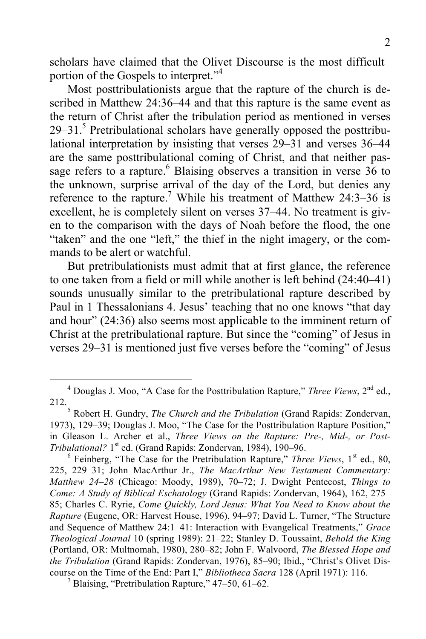scholars have claimed that the Olivet Discourse is the most difficult portion of the Gospels to interpret."<sup>4</sup>

Most posttribulationists argue that the rapture of the church is described in Matthew 24:36–44 and that this rapture is the same event as the return of Christ after the tribulation period as mentioned in verses  $29-31$ <sup>5</sup>. Pretribulational scholars have generally opposed the posttribulational interpretation by insisting that verses 29–31 and verses 36–44 are the same posttribulational coming of Christ, and that neither passage refers to a rapture.<sup>6</sup> Blaising observes a transition in verse 36 to the unknown, surprise arrival of the day of the Lord, but denies any reference to the rapture.<sup>7</sup> While his treatment of Matthew 24:3–36 is excellent, he is completely silent on verses 37–44. No treatment is given to the comparison with the days of Noah before the flood, the one "taken" and the one "left," the thief in the night imagery, or the commands to be alert or watchful.

But pretribulationists must admit that at first glance, the reference to one taken from a field or mill while another is left behind (24:40–41) sounds unusually similar to the pretribulational rapture described by Paul in 1 Thessalonians 4. Jesus' teaching that no one knows "that day and hour" (24:36) also seems most applicable to the imminent return of Christ at the pretribulational rapture. But since the "coming" of Jesus in verses 29–31 is mentioned just five verses before the "coming" of Jesus

 <sup>4</sup> Douglas J. Moo, "A Case for the Posttribulation Rapture," *Three Views*, 2nd ed., 212.5 Robert H. Gundry, *The Church and the Tribulation* (Grand Rapids: Zondervan,

<sup>1973),</sup> 129–39; Douglas J. Moo, "The Case for the Posttribulation Rapture Position," in Gleason L. Archer et al., *Three Views on the Rapture: Pre-, Mid-, or Post-Tribulational?* 1<sup>st</sup> ed. (Grand Rapids: Zondervan, 1984), 190–96.<br><sup>6</sup> Feinberg, "The Case for the Pretribulation Rapture," *Three Views*, 1<sup>st</sup> ed., 80,

<sup>225, 229–31;</sup> John MacArthur Jr., *The MacArthur New Testament Commentary: Matthew 24–28* (Chicago: Moody, 1989), 70–72; J. Dwight Pentecost, *Things to Come: A Study of Biblical Eschatology* (Grand Rapids: Zondervan, 1964), 162, 275– 85; Charles C. Ryrie, *Come Quickly, Lord Jesus: What You Need to Know about the Rapture* (Eugene, OR: Harvest House, 1996), 94–97; David L. Turner, "The Structure and Sequence of Matthew 24:1–41: Interaction with Evangelical Treatments," *Grace Theological Journal* 10 (spring 1989): 21–22; Stanley D. Toussaint, *Behold the King* (Portland, OR: Multnomah, 1980), 280–82; John F. Walvoord, *The Blessed Hope and the Tribulation* (Grand Rapids: Zondervan, 1976), 85–90; Ibid., "Christ's Olivet Discourse on the Time of the End: Part I," *Bibliotheca Sacra* 128 (April 1971): 116. <sup>7</sup> Blaising, "Pretribulation Rapture," 47–50, 61–62.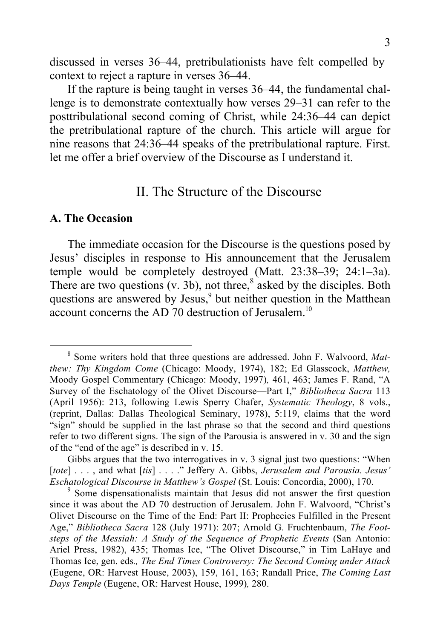discussed in verses 36–44, pretribulationists have felt compelled by context to reject a rapture in verses 36–44.

If the rapture is being taught in verses 36–44, the fundamental challenge is to demonstrate contextually how verses 29–31 can refer to the posttribulational second coming of Christ, while 24:36–44 can depict the pretribulational rapture of the church. This article will argue for nine reasons that 24:36–44 speaks of the pretribulational rapture. First. let me offer a brief overview of the Discourse as I understand it.

# II. The Structure of the Discourse

#### **A. The Occasion**

The immediate occasion for the Discourse is the questions posed by Jesus' disciples in response to His announcement that the Jerusalem temple would be completely destroyed (Matt. 23:38–39; 24:1–3a). There are two questions  $(v. 3b)$ , not three,<sup>8</sup> asked by the disciples. Both questions are answered by Jesus, <sup>9</sup> but neither question in the Matthean account concerns the AD 70 destruction of Jerusalem.<sup>10</sup>

 <sup>8</sup> Some writers hold that three questions are addressed. John F. Walvoord, *Matthew: Thy Kingdom Come* (Chicago: Moody, 1974), 182; Ed Glasscock, *Matthew,*  Moody Gospel Commentary (Chicago: Moody, 1997)*,* 461, 463; James F. Rand, "A Survey of the Eschatology of the Olivet Discourse—Part I," *Bibliotheca Sacra* 113 (April 1956): 213, following Lewis Sperry Chafer, *Systematic Theology*, 8 vols., (reprint, Dallas: Dallas Theological Seminary, 1978), 5:119, claims that the word "sign" should be supplied in the last phrase so that the second and third questions refer to two different signs. The sign of the Parousia is answered in v. 30 and the sign of the "end of the age" is described in v. 15.

Gibbs argues that the two interrogatives in v. 3 signal just two questions: "When [*tote*] . . . , and what [*tis*] . . . ." Jeffery A. Gibbs, *Jerusalem and Parousia. Jesus' Eschatological Discourse in Matthew's Gospel* (St. Louis: Concordia, 2000), 170.<br><sup>9</sup> Some dispensationalists maintain that Jesus did not answer the first question

since it was about the AD 70 destruction of Jerusalem. John F. Walvoord, "Christ's Olivet Discourse on the Time of the End: Part II: Prophecies Fulfilled in the Present Age," *Bibliotheca Sacra* 128 (July 1971): 207; Arnold G. Fruchtenbaum, *The Footsteps of the Messiah: A Study of the Sequence of Prophetic Events* (San Antonio: Ariel Press, 1982), 435; Thomas Ice, "The Olivet Discourse," in Tim LaHaye and Thomas Ice, gen. eds*., The End Times Controversy: The Second Coming under Attack*  (Eugene, OR: Harvest House, 2003), 159, 161, 163; Randall Price, *The Coming Last Days Temple* (Eugene, OR: Harvest House, 1999)*,* 280.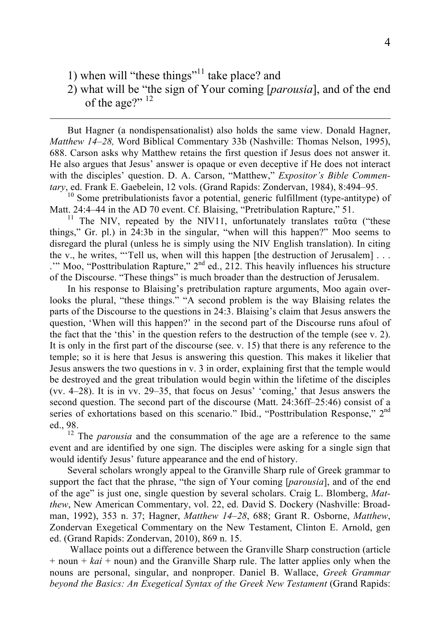1) when will "these things"<sup>11</sup> take place? and

 $\overline{a}$ 

2) what will be "the sign of Your coming [*parousia*], and of the end of the age?" <sup>12</sup>

But Hagner (a nondispensationalist) also holds the same view. Donald Hagner, *Matthew 14–28,* Word Biblical Commentary 33b (Nashville: Thomas Nelson, 1995), 688. Carson asks why Matthew retains the first question if Jesus does not answer it. He also argues that Jesus' answer is opaque or even deceptive if He does not interact with the disciples' question. D. A. Carson, "Matthew," *Expositor's Bible Commentary*, ed. Frank E. Gaebelein, 12 vols. (Grand Rapids: Zondervan, 1984), 8:494–95.<br><sup>10</sup> Some pretribulationists favor a potential, generic fulfillment (type-antitype) of

Matt. 24:4–44 in the AD 70 event. Cf. Blaising, "Pretribulation Rapture," 51.<br><sup>11</sup> The NIV, repeated by the NIV11, unfortunately translates ταῦτα ("these

things," Gr. pl.) in 24:3b in the singular, "when will this happen?" Moo seems to disregard the plural (unless he is simply using the NIV English translation). In citing the v., he writes, "'Tell us, when will this happen [the destruction of Jerusalem] . . . .'" Moo, "Posttribulation Rapture,"  $2<sup>nd</sup>$  ed., 212. This heavily influences his structure of the Discourse. "These things" is much broader than the destruction of Jerusalem.

In his response to Blaising's pretribulation rapture arguments, Moo again overlooks the plural, "these things." "A second problem is the way Blaising relates the parts of the Discourse to the questions in 24:3. Blaising's claim that Jesus answers the question, 'When will this happen?' in the second part of the Discourse runs afoul of the fact that the 'this' in the question refers to the destruction of the temple (see v. 2). It is only in the first part of the discourse (see. v. 15) that there is any reference to the temple; so it is here that Jesus is answering this question. This makes it likelier that Jesus answers the two questions in v. 3 in order, explaining first that the temple would be destroyed and the great tribulation would begin within the lifetime of the disciples (vv. 4–28). It is in vv. 29–35, that focus on Jesus' 'coming,' that Jesus answers the second question. The second part of the discourse (Matt. 24:36ff–25:46) consist of a series of exhortations based on this scenario." Ibid., "Posttribulation Response," 2<sup>nd</sup>

ed., 98.<br><sup>12</sup> The *parousia* and the consummation of the age are a reference to the same event and are identified by one sign. The disciples were asking for a single sign that would identify Jesus' future appearance and the end of history.

Several scholars wrongly appeal to the Granville Sharp rule of Greek grammar to support the fact that the phrase, "the sign of Your coming [*parousia*], and of the end of the age" is just one, single question by several scholars. Craig L. Blomberg, *Matthew*, New American Commentary, vol. 22, ed. David S. Dockery (Nashville: Broadman, 1992), 353 n. 37; Hagner, *Matthew 14–28*, 688; Grant R. Osborne, *Matthew*, Zondervan Exegetical Commentary on the New Testament, Clinton E. Arnold, gen ed. (Grand Rapids: Zondervan, 2010), 869 n. 15.

Wallace points out a difference between the Granville Sharp construction (article + noun + *kai* + noun) and the Granville Sharp rule. The latter applies only when the nouns are personal, singular, and nonproper. Daniel B. Wallace, *Greek Grammar beyond the Basics: An Exegetical Syntax of the Greek New Testament (Grand Rapids:*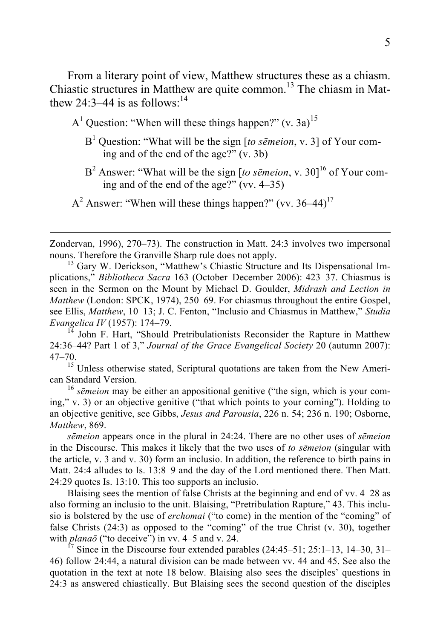From a literary point of view, Matthew structures these as a chiasm. Chiastic structures in Matthew are quite common. <sup>13</sup> The chiasm in Matthew 24:3–44 is as follows<sup>-14</sup>

 $A<sup>1</sup>$  Question: "When will these things happen?" (v. 3a)<sup>15</sup>

- B<sup>1</sup> Question: "What will be the sign [*to sēmeion*, v. 3] of Your coming and of the end of the age?" (v. 3b)
- B<sup>2</sup> Answer: "What will be the sign [to sēmeion, v. 30]<sup>16</sup> of Your coming and of the end of the age?" (vv. 4–35)
- $A<sup>2</sup>$  Answer: "When will these things happen?" (vv. 36–44)<sup>17</sup>

 $\overline{a}$ 

Zondervan, 1996), 270–73). The construction in Matt. 24:3 involves two impersonal nouns. Therefore the Granville Sharp rule does not apply.<br><sup>13</sup> Gary W. Derickson, "Matthew's Chiastic Structure and Its Dispensational Im-

plications," *Bibliotheca Sacra* 163 (October–December 2006): 423–37. Chiasmus is seen in the Sermon on the Mount by Michael D. Goulder, *Midrash and Lection in Matthew* (London: SPCK, 1974), 250–69. For chiasmus throughout the entire Gospel, see Ellis, *Matthew*, 10–13; J. C. Fenton, "Inclusio and Chiasmus in Matthew," *Studia Evangelica IV* (1957): 174–79.<br><sup>14</sup> John F. Hart, "Should Pretribulationists Reconsider the Rapture in Matthew

24:36–44? Part 1 of 3," *Journal of the Grace Evangelical Society* 20 (autumn 2007): 47–70.

<sup>15</sup> Unless otherwise stated, Scriptural quotations are taken from the New American Standard Version. <sup>16</sup> *<sup>s</sup>ēmeion* may be either an appositional genitive ("the sign, which is your com-

ing," v. 3) or an objective genitive ("that which points to your coming"). Holding to an objective genitive, see Gibbs, *Jesus and Parousia*, 226 n. 54; 236 n. 190; Osborne, *Matthew*, 869.

*sēmeion* appears once in the plural in 24:24. There are no other uses of *sēmeion* in the Discourse. This makes it likely that the two uses of *to sēmeion* (singular with the article, v. 3 and v. 30) form an inclusio. In addition, the reference to birth pains in Matt. 24:4 alludes to Is. 13:8–9 and the day of the Lord mentioned there. Then Matt. 24:29 quotes Is. 13:10. This too supports an inclusio.

Blaising sees the mention of false Christs at the beginning and end of vv. 4–28 as also forming an inclusio to the unit. Blaising, "Pretribulation Rapture," 43. This inclusio is bolstered by the use of *erchomai* ("to come) in the mention of the "coming" of false Christs (24:3) as opposed to the "coming" of the true Christ (v. 30), together with *planaō* ("to deceive") in vv. 4–5 and v. 24.<br><sup>17</sup> Since in the Discourse four extended parables (24:45–51; 25:1–13, 14–30, 31–

46) follow 24:44, a natural division can be made between vv. 44 and 45. See also the quotation in the text at note 18 below. Blaising also sees the disciples' questions in 24:3 as answered chiastically. But Blaising sees the second question of the disciples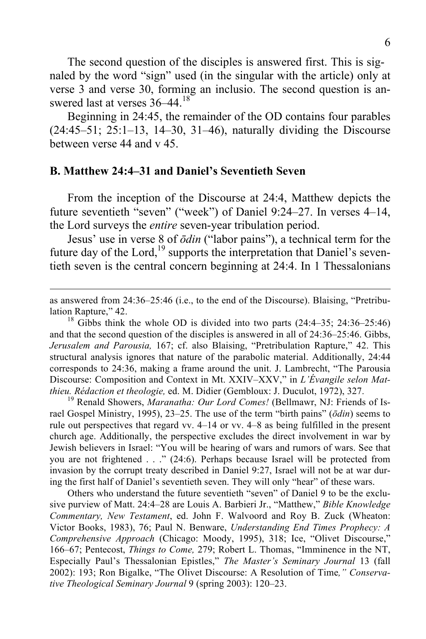The second question of the disciples is answered first. This is signaled by the word "sign" used (in the singular with the article) only at verse 3 and verse 30, forming an inclusio. The second question is answered last at verses  $36-44^{18}$ 

Beginning in 24:45, the remainder of the OD contains four parables (24:45–51; 25:1–13, 14–30, 31–46), naturally dividing the Discourse between verse 44 and v 45.

#### **B. Matthew 24:4–31 and Daniel's Seventieth Seven**

From the inception of the Discourse at 24:4, Matthew depicts the future seventieth "seven" ("week") of Daniel 9:24–27. In verses 4–14, the Lord surveys the *entire* seven-year tribulation period.

Jesus' use in verse 8 of *ōdin* ("labor pains"), a technical term for the future day of the Lord, $^{19}$  supports the interpretation that Daniel's seventieth seven is the central concern beginning at 24:4. In 1 Thessalonians

 as answered from 24:36–25:46 (i.e., to the end of the Discourse). Blaising, "Pretribulation Rapture," 42.<br><sup>18</sup> Gibbs think the whole OD is divided into two parts (24:4–35; 24:36–25:46)

and that the second question of the disciples is answered in all of 24:36–25:46. Gibbs, *Jerusalem and Parousia,* 167; cf. also Blaising, "Pretribulation Rapture," 42. This structural analysis ignores that nature of the parabolic material. Additionally, 24:44 corresponds to 24:36, making a frame around the unit. J. Lambrecht, "The Parousia Discourse: Composition and Context in Mt. XXIV–XXV," in *L'Évangile selon Matthieu. Rédaction et theologie, ed. M. Didier (Gembloux: J. Duculot, 1972), 327.* <sup>19</sup> Renald Showers, *Maranatha: Our Lord Comes!* (Bellmawr, NJ: Friends of Is-

rael Gospel Ministry, 1995), 23–25. The use of the term "birth pains" (*ōdin*) seems to rule out perspectives that regard vv. 4–14 or vv. 4–8 as being fulfilled in the present church age. Additionally, the perspective excludes the direct involvement in war by Jewish believers in Israel: "You will be hearing of wars and rumors of wars. See that you are not frightened . . ." (24:6). Perhaps because Israel will be protected from invasion by the corrupt treaty described in Daniel 9:27, Israel will not be at war during the first half of Daniel's seventieth seven. They will only "hear" of these wars.

Others who understand the future seventieth "seven" of Daniel 9 to be the exclusive purview of Matt. 24:4–28 are Louis A. Barbieri Jr., "Matthew," *Bible Knowledge Commentary, New Testament*, ed. John F. Walvoord and Roy B. Zuck (Wheaton: Victor Books, 1983), 76; Paul N. Benware, *Understanding End Times Prophecy: A Comprehensive Approach* (Chicago: Moody, 1995), 318; Ice, "Olivet Discourse," 166–67; Pentecost, *Things to Come,* 279; Robert L. Thomas, "Imminence in the NT, Especially Paul's Thessalonian Epistles," *The Master's Seminary Journal* 13 (fall 2002): 193; Ron Bigalke, "The Olivet Discourse: A Resolution of Time*," Conservative Theological Seminary Journal* 9 (spring 2003): 120–23.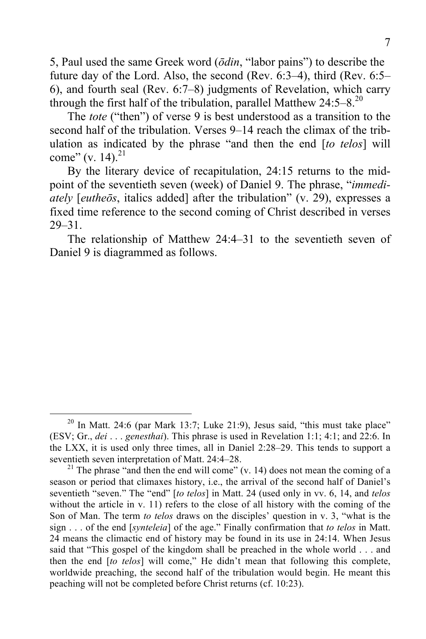5, Paul used the same Greek word (*ōdin*, "labor pains") to describe the future day of the Lord. Also, the second (Rev. 6:3–4), third (Rev. 6:5– 6), and fourth seal (Rev. 6:7–8) judgments of Revelation, which carry through the first half of the tribulation, parallel Matthew  $24:5-8.^{20}$ 

The *tote* ("then") of verse 9 is best understood as a transition to the second half of the tribulation. Verses 9–14 reach the climax of the tribulation as indicated by the phrase "and then the end [*to telos*] will come" (v. 14).<sup>21</sup>

By the literary device of recapitulation, 24:15 returns to the midpoint of the seventieth seven (week) of Daniel 9. The phrase, "*immediately* [*eutheōs*, italics added] after the tribulation" (v. 29), expresses a fixed time reference to the second coming of Christ described in verses 29–31.

The relationship of Matthew 24:4–31 to the seventieth seven of Daniel 9 is diagrammed as follows.

 $^{20}$  In Matt. 24:6 (par Mark 13:7; Luke 21:9), Jesus said, "this must take place" (ESV; Gr., *dei* . . . *genesthai*). This phrase is used in Revelation 1:1; 4:1; and 22:6. In the LXX, it is used only three times, all in Daniel 2:28–29. This tends to support a seventieth seven interpretation of Matt. 24:4–28.<br><sup>21</sup> The phrase "and then the end will come" (v. 14) does not mean the coming of a

season or period that climaxes history, i.e., the arrival of the second half of Daniel's seventieth "seven." The "end" [*to telos*] in Matt. 24 (used only in vv. 6, 14, and *telos* without the article in v. 11) refers to the close of all history with the coming of the Son of Man. The term *to telos* draws on the disciples' question in v. 3, "what is the sign . . . of the end [*synteleia*] of the age." Finally confirmation that *to telos* in Matt. 24 means the climactic end of history may be found in its use in 24:14. When Jesus said that "This gospel of the kingdom shall be preached in the whole world . . . and then the end [*to telos*] will come," He didn't mean that following this complete, worldwide preaching, the second half of the tribulation would begin. He meant this peaching will not be completed before Christ returns (cf. 10:23).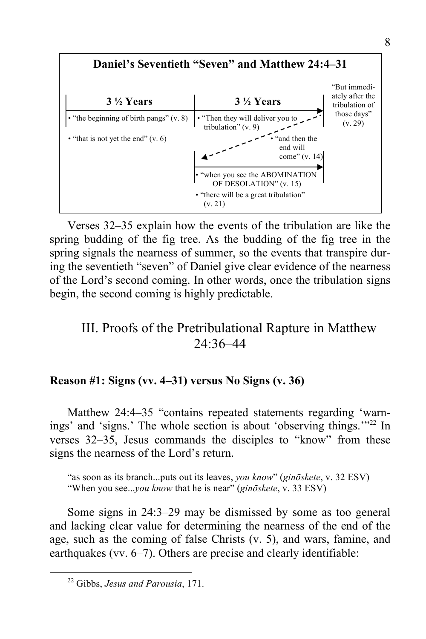

Verses 32–35 explain how the events of the tribulation are like the spring budding of the fig tree. As the budding of the fig tree in the spring signals the nearness of summer, so the events that transpire during the seventieth "seven" of Daniel give clear evidence of the nearness of the Lord's second coming. In other words, once the tribulation signs begin, the second coming is highly predictable.

# III. Proofs of the Pretribulational Rapture in Matthew 24:36–44

### **Reason #1: Signs (vv. 4–31) versus No Signs (v. 36)**

Matthew 24:4–35 "contains repeated statements regarding 'warnings' and 'signs.' The whole section is about 'observing things.'"<sup>22</sup> In verses 32–35, Jesus commands the disciples to "know" from these signs the nearness of the Lord's return.

"as soon as its branch...puts out its leaves, *you know*" (*ginōskete*, v. 32 ESV) "When you see...*you know* that he is near" (*ginōskete*, v. 33 ESV)

Some signs in 24:3–29 may be dismissed by some as too general and lacking clear value for determining the nearness of the end of the age, such as the coming of false Christs (v. 5), and wars, famine, and earthquakes (vv. 6–7). Others are precise and clearly identifiable:

 <sup>22</sup> Gibbs, *Jesus and Parousia*, 171.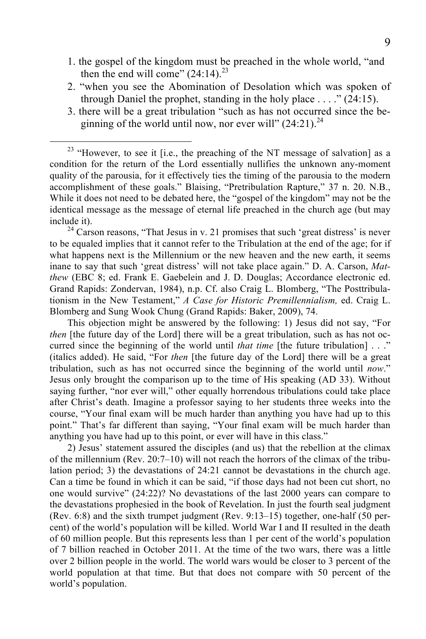- 1. the gospel of the kingdom must be preached in the whole world, "and then the end will come"  $(24:14)$ <sup>23</sup>
- 2. "when you see the Abomination of Desolation which was spoken of through Daniel the prophet, standing in the holy place  $\dots$  ." (24:15).
- 3. there will be a great tribulation "such as has not occurred since the beginning of the world until now, nor ever will"  $(24:21)^{24}$

include it).<br><sup>24</sup> Carson reasons, "That Jesus in v. 21 promises that such 'great distress' is never to be equaled implies that it cannot refer to the Tribulation at the end of the age; for if what happens next is the Millennium or the new heaven and the new earth, it seems inane to say that such 'great distress' will not take place again." D. A. Carson, *Matthew* (EBC 8; ed. Frank E. Gaebelein and J. D. Douglas; Accordance electronic ed. Grand Rapids: Zondervan, 1984), n.p. Cf. also Craig L. Blomberg, "The Posttribulationism in the New Testament," *A Case for Historic Premillennialism,* ed. Craig L. Blomberg and Sung Wook Chung (Grand Rapids: Baker, 2009), 74.

This objection might be answered by the following: 1) Jesus did not say, "For *then* [the future day of the Lord] there will be a great tribulation, such as has not occurred since the beginning of the world until *that time* [the future tribulation] . . ." (italics added). He said, "For *then* [the future day of the Lord] there will be a great tribulation, such as has not occurred since the beginning of the world until *now*." Jesus only brought the comparison up to the time of His speaking (AD 33). Without saying further, "nor ever will," other equally horrendous tribulations could take place after Christ's death. Imagine a professor saying to her students three weeks into the course, "Your final exam will be much harder than anything you have had up to this point." That's far different than saying, "Your final exam will be much harder than anything you have had up to this point, or ever will have in this class."

2) Jesus' statement assured the disciples (and us) that the rebellion at the climax of the millennium (Rev.  $20:7-10$ ) will not reach the horrors of the climax of the tribulation period; 3) the devastations of 24:21 cannot be devastations in the church age. Can a time be found in which it can be said, "if those days had not been cut short, no one would survive" (24:22)? No devastations of the last 2000 years can compare to the devastations prophesied in the book of Revelation. In just the fourth seal judgment (Rev. 6:8) and the sixth trumpet judgment (Rev. 9:13–15) together, one-half (50 percent) of the world's population will be killed. World War I and II resulted in the death of 60 million people. But this represents less than 1 per cent of the world's population of 7 billion reached in October 2011. At the time of the two wars, there was a little over 2 billion people in the world. The world wars would be closer to 3 percent of the world population at that time. But that does not compare with 50 percent of the world's population.

 $23$  "However, to see it [i.e., the preaching of the NT message of salvation] as a condition for the return of the Lord essentially nullifies the unknown any-moment quality of the parousia, for it effectively ties the timing of the parousia to the modern accomplishment of these goals." Blaising, "Pretribulation Rapture," 37 n. 20. N.B., While it does not need to be debated here, the "gospel of the kingdom" may not be the identical message as the message of eternal life preached in the church age (but may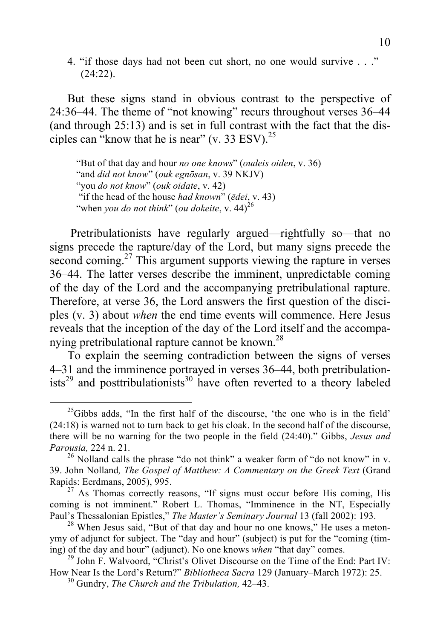4. "if those days had not been cut short, no one would survive . . ."  $(24:22)$ .

But these signs stand in obvious contrast to the perspective of 24:36–44. The theme of "not knowing" recurs throughout verses 36–44 (and through 25:13) and is set in full contrast with the fact that the disciples can "know that he is near" (v. 33 ESV). $^{25}$ 

"But of that day and hour *no one knows*" (*oudeis oiden*, v. 36) "and *did not know*" (*ouk egnōsan*, v. 39 NKJV) "you *do not know*" (*ouk oidate*, v. 42) "if the head of the house *had known*" (*ēdei*, v. 43) "when *you do not think*" (*ou dokeite*, v. 44)<sup>26</sup>

Pretribulationists have regularly argued—rightfully so—that no signs precede the rapture/day of the Lord, but many signs precede the second coming.<sup>27</sup> This argument supports viewing the rapture in verses 36–44. The latter verses describe the imminent, unpredictable coming of the day of the Lord and the accompanying pretribulational rapture. Therefore, at verse 36, the Lord answers the first question of the disciples (v. 3) about *when* the end time events will commence. Here Jesus reveals that the inception of the day of the Lord itself and the accompanying pretribulational rapture cannot be known.<sup>28</sup>

To explain the seeming contradiction between the signs of verses 4–31 and the imminence portrayed in verses 36–44, both pretribulation $i$ sts<sup>29</sup> and posttribulationists<sup>30</sup> have often reverted to a theory labeled

 $25$ Gibbs adds, "In the first half of the discourse, 'the one who is in the field' (24:18) is warned not to turn back to get his cloak. In the second half of the discourse, there will be no warning for the two people in the field (24:40)." Gibbs, *Jesus and Parousia,* 224 n. 21.<br><sup>26</sup> Nolland calls the phrase "do not think" a weaker form of "do not know" in v.

<sup>39.</sup> John Nolland*, The Gospel of Matthew: A Commentary on the Greek Text* (Grand Rapids: Eerdmans, 2005), 995.<br><sup>27</sup> As Thomas correctly reasons, "If signs must occur before His coming, His

coming is not imminent." Robert L. Thomas, "Imminence in the NT, Especially Paul's Thessalonian Epistles," The Master's Seminary Journal 13 (fall 2002): 193.

<sup>&</sup>lt;sup>28</sup> When Jesus said, "But of that day and hour no one knows," He uses a metonymy of adjunct for subject. The "day and hour" (subject) is put for the "coming (tim-<br>ing) of the day and hour" (adjunct). No one knows when "that day" comes.

<sup>&</sup>lt;sup>29</sup> John F. Walvoord, "Christ's Olivet Discourse on the Time of the End: Part IV: How Near Is the Lord's Return?" *Bibliotheca Sacra* 129 (January–March 1972): 25. <sup>30</sup> Gundry, *The Church and the Tribulation,* 42–43.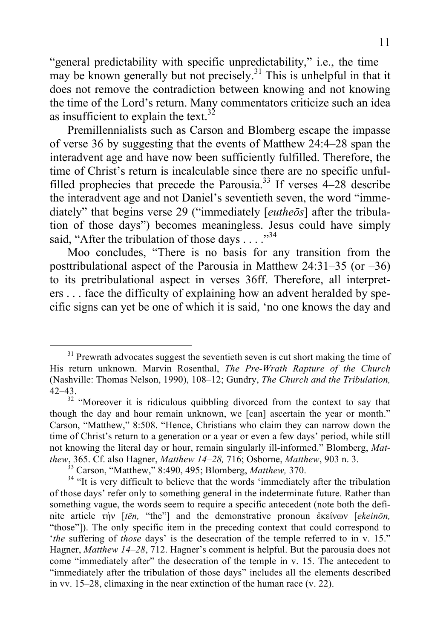"general predictability with specific unpredictability," i.e., the time may be known generally but not precisely.<sup>31</sup> This is unhelpful in that it does not remove the contradiction between knowing and not knowing the time of the Lord's return. Many commentators criticize such an idea as insufficient to explain the text.<sup>32</sup>

Premillennialists such as Carson and Blomberg escape the impasse of verse 36 by suggesting that the events of Matthew 24:4–28 span the interadvent age and have now been sufficiently fulfilled. Therefore, the time of Christ's return is incalculable since there are no specific unfulfilled prophecies that precede the Parousia.<sup>33</sup> If verses  $4-28$  describe the interadvent age and not Daniel's seventieth seven, the word "immediately" that begins verse 29 ("immediately [*eutheōs*] after the tribulation of those days") becomes meaningless. Jesus could have simply said, "After the tribulation of those days  $\ldots$ ."<sup>34</sup>

Moo concludes, "There is no basis for any transition from the posttribulational aspect of the Parousia in Matthew 24:31–35 (or –36) to its pretribulational aspect in verses 36ff. Therefore, all interpreters . . . face the difficulty of explaining how an advent heralded by specific signs can yet be one of which it is said, 'no one knows the day and

 $31$  Prewrath advocates suggest the seventieth seven is cut short making the time of His return unknown. Marvin Rosenthal, *The Pre-Wrath Rapture of the Church* (Nashville: Thomas Nelson, 1990), 108–12; Gundry, *The Church and the Tribulation,*  42–43.

<sup>&</sup>lt;sup>32</sup> "Moreover it is ridiculous quibbling divorced from the context to say that though the day and hour remain unknown, we [can] ascertain the year or month." Carson, "Matthew," 8:508. "Hence, Christians who claim they can narrow down the time of Christ's return to a generation or a year or even a few days' period, while still not knowing the literal day or hour, remain singularly ill-informed." Blomberg, *Mat*thew, 365. Cf. also Hagner, *Matthew 14–28*, 716; Osborne, *Matthew*, 903 n. 3.<br><sup>33</sup> Carson, "Matthew," 8:490, 495; Blomberg, *Matthew*, 370.<br><sup>34</sup> "It is very difficult to believe that the words 'immediately after the tri

of those days' refer only to something general in the indeterminate future. Rather than something vague, the words seem to require a specific antecedent (note both the definite article τήν [*tēn,* "the"] and the demonstrative pronoun ἐκείνων [*ekeinōn,* "those"]). The only specific item in the preceding context that could correspond to '*the* suffering of *those* days' is the desecration of the temple referred to in v. 15." Hagner, *Matthew 14–28*, 712. Hagner's comment is helpful. But the parousia does not come "immediately after" the desecration of the temple in v. 15. The antecedent to "immediately after the tribulation of those days" includes all the elements described in vv. 15–28, climaxing in the near extinction of the human race (v. 22).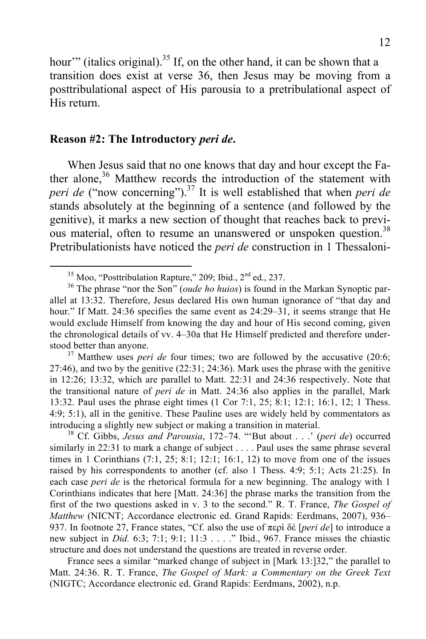hour" (italics original).<sup>35</sup> If, on the other hand, it can be shown that a transition does exist at verse 36, then Jesus may be moving from a posttribulational aspect of His parousia to a pretribulational aspect of His return.

#### **Reason #2: The Introductory** *peri de***.**

When Jesus said that no one knows that day and hour except the Father alone,<sup>36</sup> Matthew records the introduction of the statement with *peri de* ("now concerning").<sup>37</sup> It is well established that when *peri de* stands absolutely at the beginning of a sentence (and followed by the genitive), it marks a new section of thought that reaches back to previous material, often to resume an unanswered or unspoken question.<sup>38</sup> Pretribulationists have noticed the *peri de* construction in 1 Thessaloni-

27:46), and two by the genitive (22:31; 24:36). Mark uses the phrase with the genitive in 12:26; 13:32, which are parallel to Matt. 22:31 and 24:36 respectively. Note that the transitional nature of *peri de* in Matt. 24:36 also applies in the parallel, Mark 13:32. Paul uses the phrase eight times (1 Cor 7:1, 25; 8:1; 12:1; 16:1, 12; 1 Thess. 4:9; 5:1), all in the genitive. These Pauline uses are widely held by commentators as introducing a slightly new subject or making a transition in material. <sup>38</sup> Cf. Gibbs, *Jesus and Parousia*, 172–74. "'But about . . .' (*peri de*) occurred

similarly in 22:31 to mark a change of subject . . . . Paul uses the same phrase several times in 1 Corinthians  $(7:1, 25; 8:1; 12:1; 16:1, 12)$  to move from one of the issues raised by his correspondents to another (cf. also 1 Thess. 4:9; 5:1; Acts 21:25). In each case *peri de* is the rhetorical formula for a new beginning. The analogy with 1 Corinthians indicates that here [Matt. 24:36] the phrase marks the transition from the first of the two questions asked in v. 3 to the second." R. T. France, *The Gospel of Matthew* (NICNT; Accordance electronic ed. Grand Rapids: Eerdmans, 2007), 936– 937. In footnote 27, France states, "Cf. also the use of περὶ δέ [*peri de*] to introduce a new subject in *Did.* 6:3; 7:1; 9:1; 11:3 . . . ." Ibid., 967. France misses the chiastic structure and does not understand the questions are treated in reverse order.

France sees a similar "marked change of subject in [Mark 13:]32," the parallel to Matt. 24:36. R. T. France, *The Gospel of Mark: a Commentary on the Greek Text* (NIGTC; Accordance electronic ed. Grand Rapids: Eerdmans, 2002), n.p.

<sup>&</sup>lt;sup>35</sup> Moo, "Posttribulation Rapture," 209; Ibid.,  $2<sup>nd</sup>$  ed., 237.<br><sup>36</sup> The phrase "nor the Son" (*oude ho huios*) is found in the Markan Synoptic parallel at 13:32. Therefore, Jesus declared His own human ignorance of "that day and hour." If Matt. 24:36 specifies the same event as  $24:29-31$ , it seems strange that He would exclude Himself from knowing the day and hour of His second coming, given the chronological details of vv. 4–30a that He Himself predicted and therefore understood better than anyone.<br><sup>37</sup> Matthew uses *peri de* four times; two are followed by the accusative (20:6;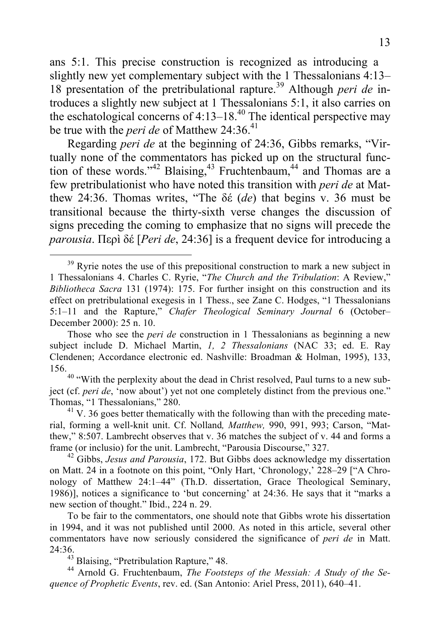ans 5:1. This precise construction is recognized as introducing a slightly new yet complementary subject with the 1 Thessalonians 4:13– 18 presentation of the pretribulational rapture.<sup>39</sup> Although *peri de* introduces a slightly new subject at 1 Thessalonians 5:1, it also carries on the eschatological concerns of  $4:13-18<sup>40</sup>$  The identical perspective may be true with the *peri de* of Matthew 24:36. 41

Regarding *peri de* at the beginning of 24:36, Gibbs remarks, "Virtually none of the commentators has picked up on the structural function of these words." $42$  Blaising, $43$  Fruchtenbaum, $44$  and Thomas are a few pretribulationist who have noted this transition with *peri de* at Matthew 24:36. Thomas writes, "The δέ (*de*) that begins v. 36 must be transitional because the thirty-sixth verse changes the discussion of signs preceding the coming to emphasize that no signs will precede the *parousia*. Περì δέ [*Peri de*, 24:36] is a frequent device for introducing a

24:36. <sup>43</sup> Blaising, "Pretribulation Rapture," 48. <sup>44</sup> Arnold G. Fruchtenbaum, *The Footsteps of the Messiah: A Study of the Sequence of Prophetic Events*, rev. ed. (San Antonio: Ariel Press, 2011), 640–41.

 $39$  Ryrie notes the use of this prepositional construction to mark a new subject in 1 Thessalonians 4. Charles C. Ryrie, "*The Church and the Tribulation*: A Review," *Bibliotheca Sacra* 131 (1974): 175. For further insight on this construction and its effect on pretribulational exegesis in 1 Thess., see Zane C. Hodges, "1 Thessalonians 5:1–11 and the Rapture," *Chafer Theological Seminary Journal* 6 (October– December 2000): 25 n. 10.

Those who see the *peri de* construction in 1 Thessalonians as beginning a new subject include D. Michael Martin, *1, 2 Thessalonians* (NAC 33; ed. E. Ray Clendenen; Accordance electronic ed. Nashville: Broadman & Holman, 1995), 133,

<sup>&</sup>lt;sup>40</sup> "With the perplexity about the dead in Christ resolved, Paul turns to a new subject (cf. *peri de*, 'now about') yet not one completely distinct from the previous one." Thomas, "1 Thessalonians," 280.<br><sup>41</sup> V. 36 goes better thematically with the following than with the preceding mate-

rial, forming a well-knit unit. Cf. Nolland*, Matthew,* 990, 991, 993; Carson, "Matthew," 8:507. Lambrecht observes that v. 36 matches the subject of v. 44 and forms a frame (or inclusio) for the unit. Lambrecht, "Parousia Discourse," 327.

<sup>&</sup>lt;sup>42</sup> Gibbs, Jesus and Parousia, 172. But Gibbs does acknowledge my dissertation on Matt. 24 in a footnote on this point, "Only Hart, 'Chronology,' 228–29 ["A Chronology of Matthew 24:1–44" (Th.D. dissertation, Grace Theological Seminary, 1986)], notices a significance to 'but concerning' at 24:36. He says that it "marks a new section of thought." Ibid., 224 n. 29.

To be fair to the commentators, one should note that Gibbs wrote his dissertation in 1994, and it was not published until 2000. As noted in this article, several other commentators have now seriously considered the significance of *peri de* in Matt.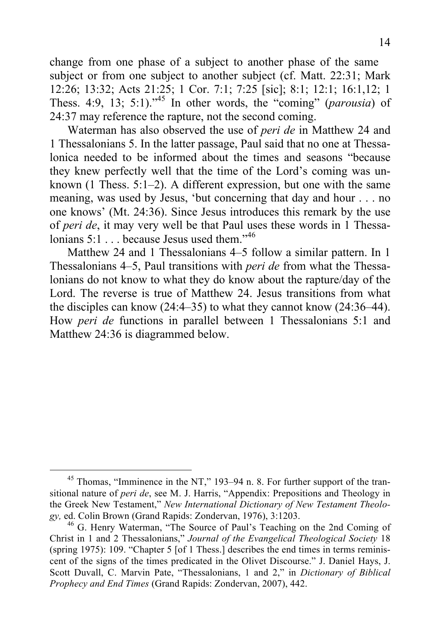change from one phase of a subject to another phase of the same subject or from one subject to another subject (cf. Matt. 22:31; Mark 12:26; 13:32; Acts 21:25; 1 Cor. 7:1; 7:25 [sic]; 8:1; 12:1; 16:1,12; 1 Thess. 4:9, 13; 5:1).<sup> $35$ </sup> In other words, the "coming" *(parousia)* of 24:37 may reference the rapture, not the second coming.

Waterman has also observed the use of *peri de* in Matthew 24 and 1 Thessalonians 5. In the latter passage, Paul said that no one at Thessalonica needed to be informed about the times and seasons "because they knew perfectly well that the time of the Lord's coming was unknown (1 Thess. 5:1–2). A different expression, but one with the same meaning, was used by Jesus, 'but concerning that day and hour . . . no one knows' (Mt. 24:36). Since Jesus introduces this remark by the use of *peri de*, it may very well be that Paul uses these words in 1 Thessalonians  $5:1...$  because Jesus used them<sup> $,46$ </sup>

Matthew 24 and 1 Thessalonians 4–5 follow a similar pattern. In 1 Thessalonians 4–5, Paul transitions with *peri de* from what the Thessalonians do not know to what they do know about the rapture/day of the Lord. The reverse is true of Matthew 24. Jesus transitions from what the disciples can know (24:4–35) to what they cannot know (24:36–44). How *peri de* functions in parallel between 1 Thessalonians 5:1 and Matthew 24:36 is diagrammed below.

<sup>&</sup>lt;sup>45</sup> Thomas, "Imminence in the NT," 193-94 n. 8. For further support of the transitional nature of *peri de*, see M. J. Harris, "Appendix: Prepositions and Theology in the Greek New Testament," *New International Dictionary of New Testament Theology,* ed. Colin Brown (Grand Rapids: Zondervan, 1976), 3:1203. <sup>46</sup> G. Henry Waterman, "The Source of Paul's Teaching on the 2nd Coming of

Christ in 1 and 2 Thessalonians," *Journal of the Evangelical Theological Society* 18 (spring 1975): 109. "Chapter 5 [of 1 Thess.] describes the end times in terms reminiscent of the signs of the times predicated in the Olivet Discourse." J. Daniel Hays, J. Scott Duvall, C. Marvin Pate, "Thessalonians, 1 and 2," in *Dictionary of Biblical Prophecy and End Times* (Grand Rapids: Zondervan, 2007), 442.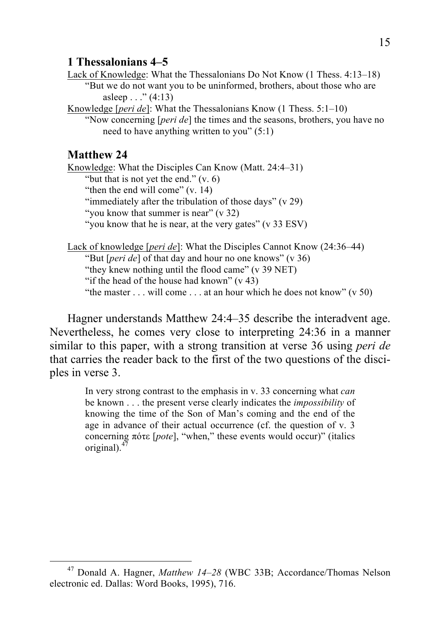#### **1 Thessalonians 4–5**

Lack of Knowledge: What the Thessalonians Do Not Know (1 Thess. 4:13–18) "But we do not want you to be uninformed, brothers, about those who are asleep  $\ldots$  " (4:13)

Knowledge [*peri de*]: What the Thessalonians Know (1 Thess. 5:1–10)

"Now concerning [*peri de*] the times and the seasons, brothers, you have no need to have anything written to you" (5:1)

#### **Matthew 24**

Knowledge: What the Disciples Can Know (Matt. 24:4–31) "but that is not yet the end."  $(v, 6)$ "then the end will come" (v. 14) "immediately after the tribulation of those days" (v 29) "you know that summer is near" (v 32) "you know that he is near, at the very gates" (v 33 ESV)

Lack of knowledge [*peri de*]: What the Disciples Cannot Know (24:36–44) "But [*peri de*] of that day and hour no one knows" (v 36) "they knew nothing until the flood came" (v 39 NET) "if the head of the house had known"  $(v 43)$ "the master  $\dots$  will come  $\dots$  at an hour which he does not know" (v 50)

Hagner understands Matthew 24:4–35 describe the interadvent age. Nevertheless, he comes very close to interpreting 24:36 in a manner similar to this paper, with a strong transition at verse 36 using *peri de* that carries the reader back to the first of the two questions of the disciples in verse 3.

> In very strong contrast to the emphasis in v. 33 concerning what *can* be known . . . the present verse clearly indicates the *impossibility* of knowing the time of the Son of Man's coming and the end of the age in advance of their actual occurrence (cf. the question of v. 3 concerning πότε [*pote*], "when," these events would occur)" (italics original). $47$

 <sup>47</sup> Donald A. Hagner, *Matthew 14–28* (WBC 33B; Accordance/Thomas Nelson electronic ed. Dallas: Word Books, 1995), 716.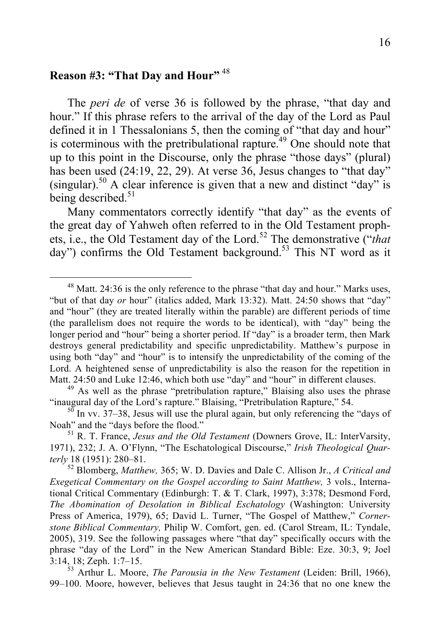# **Reason #3: "That Day and Hour"** <sup>48</sup>

The *peri de* of verse 36 is followed by the phrase, "that day and hour." If this phrase refers to the arrival of the day of the Lord as Paul defined it in 1 Thessalonians 5, then the coming of "that day and hour" is coterminous with the pretribulational rapture.<sup>49</sup> One should note that up to this point in the Discourse, only the phrase "those days" (plural) has been used (24:19, 22, 29). At verse 36, Jesus changes to "that day" (singular).<sup>50</sup> A clear inference is given that a new and distinct "day" is being described.<sup>51</sup>

Many commentators correctly identify "that day" as the events of the great day of Yahweh often referred to in the Old Testament prophets, i.e., the Old Testament day of the Lord.<sup>52</sup> The demonstrative ("*that* day") confirms the Old Testament background.<sup>53</sup> This NT word as it

<sup>&</sup>lt;sup>48</sup> Matt. 24:36 is the only reference to the phrase "that day and hour." Marks uses, "but of that day *or* hour" (italics added, Mark 13:32). Matt. 24:50 shows that "day" and "hour" (they are treated literally within the parable) are different periods of time (the parallelism does not require the words to be identical), with "day" being the longer period and "hour" being a shorter period. If "day" is a broader term, then Mark destroys general predictability and specific unpredictability. Matthew's purpose in using both "day" and "hour" is to intensify the unpredictability of the coming of the Lord. A heightened sense of unpredictability is also the reason for the repetition in Matt. 24:50 and Luke 12:46, which both use "day" and "hour" in different clauses.

 $^{49}$  As well as the phrase "pretribulation rapture," Blaising also uses the phrase "inaugural day of the Lord's rapture." Blaising, "Pretribulation Rapture," 54.

 $\frac{50}{10}$  In vv. 37–38, Jesus will use the plural again, but only referencing the "days of Noah" and the "days before the flood." <sup>51</sup> R. T. France, *Jesus and the Old Testament* (Downers Grove, IL: InterVarsity,

<sup>1971), 232;</sup> J. A. O'Flynn, "The Eschatological Discourse," *Irish Theological Quarterly* 18 (1951): 280–81. <sup>52</sup> Blomberg, *Matthew,* 365; W. D. Davies and Dale C. Allison Jr., *A Critical and* 

*Exegetical Commentary on the Gospel according to Saint Matthew,* 3 vols., International Critical Commentary (Edinburgh: T. & T. Clark, 1997), 3:378; Desmond Ford, *The Abomination of Desolation in Biblical Eschatology* (Washington: University Press of America, 1979), 65; David L. Turner, "The Gospel of Matthew," *Cornerstone Biblical Commentary,* Philip W. Comfort, gen. ed. (Carol Stream, IL: Tyndale, 2005), 319. See the following passages where "that day" specifically occurs with the phrase "day of the Lord" in the New American Standard Bible: Eze. 30:3, 9; Joel 3:14, 18; Zeph. 1:7–15. <sup>53</sup> Arthur L. Moore, *The Parousia in the New Testament* (Leiden: Brill, 1966),

<sup>99–100.</sup> Moore, however, believes that Jesus taught in 24:36 that no one knew the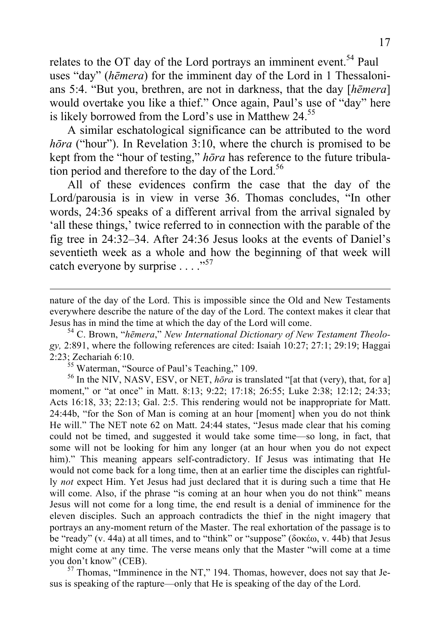relates to the OT day of the Lord portrays an imminent event.<sup>54</sup> Paul uses "day" (*hēmera*) for the imminent day of the Lord in 1 Thessalonians 5:4. "But you, brethren, are not in darkness, that the day [*hēmera*] would overtake you like a thief." Once again, Paul's use of "day" here is likely borrowed from the Lord's use in Matthew  $24<sup>55</sup>$ 

A similar eschatological significance can be attributed to the word *hōra* ("hour"). In Revelation 3:10, where the church is promised to be kept from the "hour of testing," *hōra* has reference to the future tribulation period and therefore to the day of the Lord.<sup>56</sup>

All of these evidences confirm the case that the day of the Lord/parousia is in view in verse 36. Thomas concludes, "In other words, 24:36 speaks of a different arrival from the arrival signaled by 'all these things,' twice referred to in connection with the parable of the fig tree in 24:32–34. After 24:36 Jesus looks at the events of Daniel's seventieth week as a whole and how the beginning of that week will catch everyone by surprise . . . ."<sup>57</sup>

*gy,* 2:891, where the following references are cited: Isaiah 10:27; 27:1; 29:19; Haggai 2:23; Zechariah 6:10.<br><sup>55</sup> Waterman, "Source of Paul's Teaching," 109.<br><sup>56</sup> In the NIV, NASV, ESV, or NET, *hōra* is translated "[at that (very), that, for a]

moment," or "at once" in Matt. 8:13; 9:22; 17:18; 26:55; Luke 2:38; 12:12; 24:33; Acts 16:18, 33; 22:13; Gal. 2:5. This rendering would not be inappropriate for Matt. 24:44b, "for the Son of Man is coming at an hour [moment] when you do not think He will." The NET note 62 on Matt. 24:44 states, "Jesus made clear that his coming could not be timed, and suggested it would take some time—so long, in fact, that some will not be looking for him any longer (at an hour when you do not expect him)." This meaning appears self-contradictory. If Jesus was intimating that He would not come back for a long time, then at an earlier time the disciples can rightfully *not* expect Him. Yet Jesus had just declared that it is during such a time that He will come. Also, if the phrase "is coming at an hour when you do not think" means Jesus will not come for a long time, the end result is a denial of imminence for the eleven disciples. Such an approach contradicts the thief in the night imagery that portrays an any-moment return of the Master. The real exhortation of the passage is to be "ready" (v. 44a) at all times, and to "think" or "suppose" (δοκέω, v. 44b) that Jesus might come at any time. The verse means only that the Master "will come at a time you don't know" (CEB).<br><sup>57</sup> Thomas, "Imminence in the NT," 194. Thomas, however, does not say that Je-

sus is speaking of the rapture—only that He is speaking of the day of the Lord.

nature of the day of the Lord. This is impossible since the Old and New Testaments everywhere describe the nature of the day of the Lord. The context makes it clear that Jesus has in mind the time at which the day of the Lord will come. <sup>54</sup> C. Brown, "*hēmera*," *New International Dictionary of New Testament Theolo-*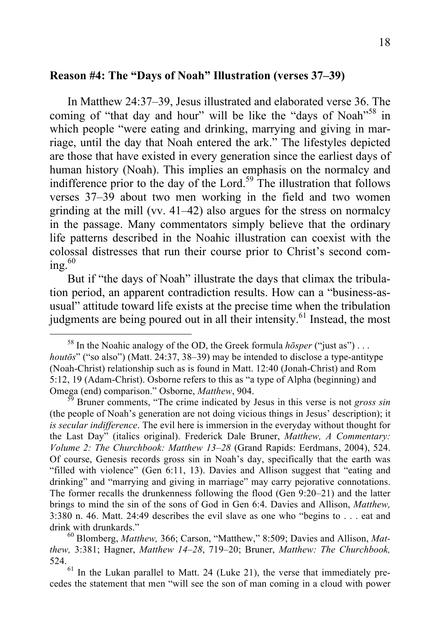#### **Reason #4: The "Days of Noah" Illustration (verses 37–39)**

In Matthew 24:37–39, Jesus illustrated and elaborated verse 36. The coming of "that day and hour" will be like the "days of Noah"<sup>58</sup> in which people "were eating and drinking, marrying and giving in marriage, until the day that Noah entered the ark." The lifestyles depicted are those that have existed in every generation since the earliest days of human history (Noah). This implies an emphasis on the normalcy and indifference prior to the day of the Lord.<sup>59</sup> The illustration that follows verses 37–39 about two men working in the field and two women grinding at the mill (vv. 41–42) also argues for the stress on normalcy in the passage. Many commentators simply believe that the ordinary life patterns described in the Noahic illustration can coexist with the colossal distresses that run their course prior to Christ's second coming. $60$ 

But if "the days of Noah" illustrate the days that climax the tribulation period, an apparent contradiction results. How can a "business-asusual" attitude toward life exists at the precise time when the tribulation judgments are being poured out in all their intensity.<sup>61</sup> Instead, the most

 <sup>58</sup> In the Noahic analogy of the OD, the Greek formula *hōsper* ("just as") . . . *houtōs*" ("so also") (Matt. 24:37, 38–39) may be intended to disclose a type-antitype (Noah-Christ) relationship such as is found in Matt. 12:40 (Jonah-Christ) and Rom 5:12, 19 (Adam-Christ). Osborne refers to this as "a type of Alpha (beginning) and Omega (end) comparison." Osborne, *Matthew*, 904.<br><sup>59</sup> Bruner comments, "The crime indicated by Jesus in this verse is not *gross sin* 

<sup>(</sup>the people of Noah's generation are not doing vicious things in Jesus' description); it *is secular indifference*. The evil here is immersion in the everyday without thought for the Last Day" (italics original). Frederick Dale Bruner, *Matthew, A Commentary: Volume 2: The Churchbook: Matthew 13–28* (Grand Rapids: Eerdmans, 2004), 524. Of course, Genesis records gross sin in Noah's day, specifically that the earth was "filled with violence" (Gen 6:11, 13). Davies and Allison suggest that "eating and drinking" and "marrying and giving in marriage" may carry pejorative connotations. The former recalls the drunkenness following the flood (Gen 9:20–21) and the latter brings to mind the sin of the sons of God in Gen 6:4. Davies and Allison, *Matthew,* 3:380 n. 46. Matt. 24:49 describes the evil slave as one who "begins to . . . eat and drink with drunkards." <sup>60</sup> Blomberg, *Matthew,* 366; Carson, "Matthew," 8:509; Davies and Allison, *Mat-*

*thew,* 3:381; Hagner, *Matthew 14–28*, 719–20; Bruner, *Matthew: The Churchbook,* 524.<br> $\frac{61}{10}$  In the Lukan parallel to Matt. 24 (Luke 21), the verse that immediately pre-

cedes the statement that men "will see the son of man coming in a cloud with power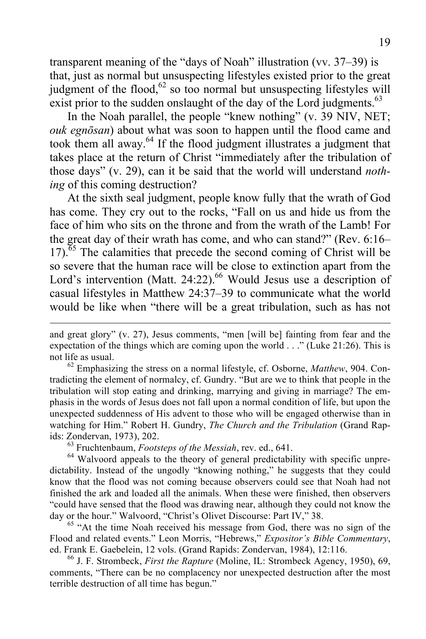transparent meaning of the "days of Noah" illustration (vv. 37–39) is that, just as normal but unsuspecting lifestyles existed prior to the great judgment of the flood, $62$  so too normal but unsuspecting lifestyles will exist prior to the sudden onslaught of the day of the Lord judgments.<sup>63</sup>

In the Noah parallel, the people "knew nothing" (v. 39 NIV, NET; *ouk egnōsan*) about what was soon to happen until the flood came and took them all away.<sup>64</sup> If the flood judgment illustrates a judgment that takes place at the return of Christ "immediately after the tribulation of those days" (v. 29), can it be said that the world will understand *nothing* of this coming destruction?

At the sixth seal judgment, people know fully that the wrath of God has come. They cry out to the rocks, "Fall on us and hide us from the face of him who sits on the throne and from the wrath of the Lamb! For the great day of their wrath has come, and who can stand?" (Rev. 6:16–  $17$ ).<sup> $65$ </sup> The calamities that precede the second coming of Christ will be so severe that the human race will be close to extinction apart from the Lord's intervention (Matt. 24:22).<sup>66</sup> Would Jesus use a description of casual lifestyles in Matthew 24:37–39 to communicate what the world would be like when "there will be a great tribulation, such as has not

not life as usual.<br><sup>62</sup> Emphasizing the stress on a normal lifestyle, cf. Osborne, *Matthew*, 904. Contradicting the element of normalcy, cf. Gundry. "But are we to think that people in the tribulation will stop eating and drinking, marrying and giving in marriage? The emphasis in the words of Jesus does not fall upon a normal condition of life, but upon the unexpected suddenness of His advent to those who will be engaged otherwise than in watching for Him." Robert H. Gundry, *The Church and the Tribulation* (Grand Rapids: Zondervan, 1973), 202.<br><sup>63</sup> Fruchtenbaum, *Footsteps of the Messiah*, rev. ed., 641.<br><sup>64</sup> Walvoord appeals to the theory of general predictability with specific unpre-

dictability. Instead of the ungodly "knowing nothing," he suggests that they could know that the flood was not coming because observers could see that Noah had not finished the ark and loaded all the animals. When these were finished, then observers "could have sensed that the flood was drawing near, although they could not know the day or the hour." Walvoord, "Christ's Olivet Discourse: Part IV," 38.<br><sup>65</sup> "At the time Noah received his message from God, there was no sign of the

Flood and related events." Leon Morris, "Hebrews," *Expositor's Bible Commentary*, ed. Frank E. Gaebelein, 12 vols. (Grand Rapids: Zondervan, 1984), 12:116. <sup>66</sup> J. F. Strombeck, *First the Rapture* (Moline, IL: Strombeck Agency, 1950), 69,

comments, "There can be no complacency nor unexpected destruction after the most terrible destruction of all time has begun."

and great glory" (v. 27), Jesus comments, "men [will be] fainting from fear and the expectation of the things which are coming upon the world . . ." (Luke 21:26). This is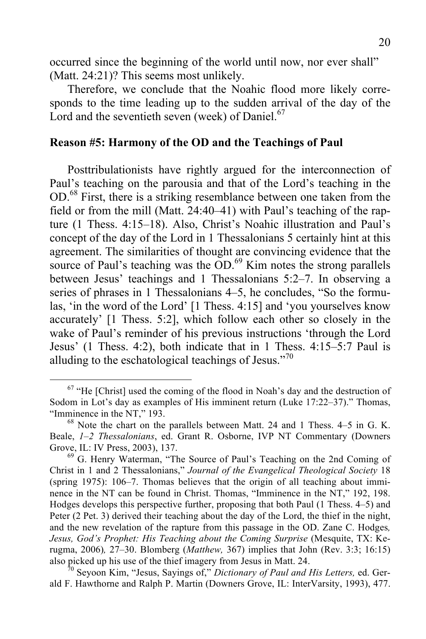occurred since the beginning of the world until now, nor ever shall" (Matt. 24:21)? This seems most unlikely.

Therefore, we conclude that the Noahic flood more likely corresponds to the time leading up to the sudden arrival of the day of the Lord and the seventieth seven (week) of Daniel.<sup>67</sup>

#### **Reason #5: Harmony of the OD and the Teachings of Paul**

Posttribulationists have rightly argued for the interconnection of Paul's teaching on the parousia and that of the Lord's teaching in the OD.<sup>68</sup> First, there is a striking resemblance between one taken from the field or from the mill (Matt. 24:40–41) with Paul's teaching of the rapture (1 Thess. 4:15–18). Also, Christ's Noahic illustration and Paul's concept of the day of the Lord in 1 Thessalonians 5 certainly hint at this agreement. The similarities of thought are convincing evidence that the source of Paul's teaching was the  $OD.^{69}$  Kim notes the strong parallels between Jesus' teachings and 1 Thessalonians 5:2–7. In observing a series of phrases in 1 Thessalonians 4–5, he concludes, "So the formulas, 'in the word of the Lord' [1 Thess. 4:15] and 'you yourselves know accurately' [1 Thess. 5:2], which follow each other so closely in the wake of Paul's reminder of his previous instructions 'through the Lord Jesus' (1 Thess. 4:2), both indicate that in 1 Thess. 4:15–5:7 Paul is alluding to the eschatological teachings of Jesus."<sup>70</sup>

 $67$  "He [Christ] used the coming of the flood in Noah's day and the destruction of Sodom in Lot's day as examples of His imminent return (Luke 17:22–37)." Thomas, "Imminence in the NT," 193.<br><sup>68</sup> Note the chart on the parallels between Matt. 24 and 1 Thess. 4–5 in G. K.

Beale, *1–2 Thessalonians*, ed. Grant R. Osborne, IVP NT Commentary (Downers Grove, IL: IV Press, 2003), 137.<br><sup>69</sup> G. Henry Waterman, "The Source of Paul's Teaching on the 2nd Coming of

Christ in 1 and 2 Thessalonians," *Journal of the Evangelical Theological Society* 18 (spring 1975): 106–7. Thomas believes that the origin of all teaching about imminence in the NT can be found in Christ. Thomas, "Imminence in the NT," 192, 198. Hodges develops this perspective further, proposing that both Paul (1 Thess. 4–5) and Peter (2 Pet. 3) derived their teaching about the day of the Lord, the thief in the night, and the new revelation of the rapture from this passage in the OD. Zane C. Hodges*, Jesus, God's Prophet: His Teaching about the Coming Surprise* (Mesquite, TX: Kerugma, 2006)*,* 27–30. Blomberg (*Matthew,* 367) implies that John (Rev. 3:3; 16:15) also picked up his use of the thief imagery from Jesus in Matt. 24. <sup>70</sup> Seyoon Kim, "Jesus, Sayings of," *Dictionary of Paul and His Letters,* ed. Ger-

ald F. Hawthorne and Ralph P. Martin (Downers Grove, IL: InterVarsity, 1993), 477.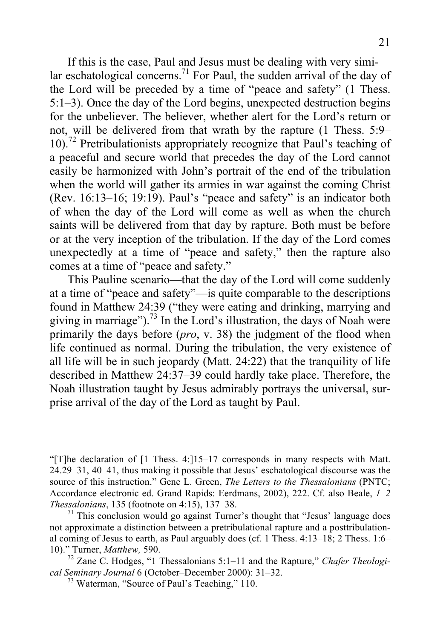If this is the case, Paul and Jesus must be dealing with very similar eschatological concerns.<sup>71</sup> For Paul, the sudden arrival of the day of the Lord will be preceded by a time of "peace and safety" (1 Thess. 5:1–3). Once the day of the Lord begins, unexpected destruction begins for the unbeliever. The believer, whether alert for the Lord's return or not, will be delivered from that wrath by the rapture (1 Thess. 5:9– 10).72 Pretribulationists appropriately recognize that Paul's teaching of a peaceful and secure world that precedes the day of the Lord cannot easily be harmonized with John's portrait of the end of the tribulation when the world will gather its armies in war against the coming Christ (Rev. 16:13–16; 19:19). Paul's "peace and safety" is an indicator both of when the day of the Lord will come as well as when the church saints will be delivered from that day by rapture. Both must be before or at the very inception of the tribulation. If the day of the Lord comes unexpectedly at a time of "peace and safety," then the rapture also comes at a time of "peace and safety."

This Pauline scenario—that the day of the Lord will come suddenly at a time of "peace and safety"—is quite comparable to the descriptions found in Matthew 24:39 ("they were eating and drinking, marrying and giving in marriage").<sup>73</sup> In the Lord's illustration, the days of Noah were primarily the days before (*pro*, v. 38) the judgment of the flood when life continued as normal. During the tribulation, the very existence of all life will be in such jeopardy (Matt. 24:22) that the tranquility of life described in Matthew 24:37–39 could hardly take place. Therefore, the Noah illustration taught by Jesus admirably portrays the universal, surprise arrival of the day of the Lord as taught by Paul.

 <sup>&</sup>quot;[T]he declaration of [1 Thess. 4:]15–17 corresponds in many respects with Matt. 24.29–31, 40–41, thus making it possible that Jesus' eschatological discourse was the source of this instruction." Gene L. Green, *The Letters to the Thessalonians* (PNTC; Accordance electronic ed. Grand Rapids: Eerdmans, 2002), 222. Cf. also Beale, *1–2 Thessalonians*, 135 (footnote on 4:15), 137–38.<br><sup>71</sup> This conclusion would go against Turner's thought that "Jesus' language does

not approximate a distinction between a pretribulational rapture and a posttribulational coming of Jesus to earth, as Paul arguably does (cf. 1 Thess. 4:13–18; 2 Thess. 1:6–10)." Turner, *Matthew*, 590.

<sup>&</sup>lt;sup>72</sup> Zane C. Hodges, "1 Thessalonians 5:1–11 and the Rapture," *Chafer Theological Seminary Journal* 6 (October–December 2000): 31–32. <sup>73</sup> Waterman, "Source of Paul's Teaching," 110.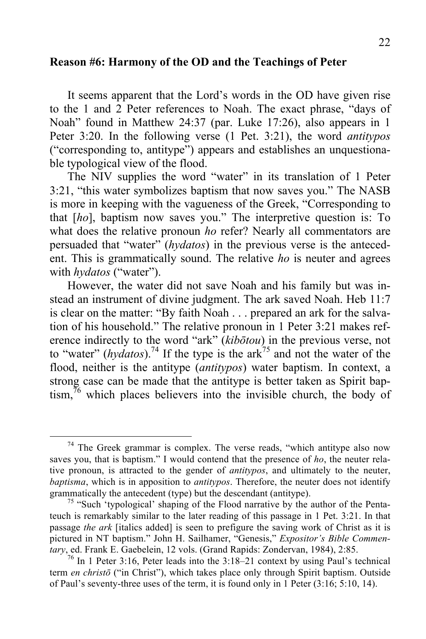#### **Reason #6: Harmony of the OD and the Teachings of Peter**

It seems apparent that the Lord's words in the OD have given rise to the 1 and 2 Peter references to Noah. The exact phrase, "days of Noah" found in Matthew 24:37 (par. Luke 17:26), also appears in 1 Peter 3:20. In the following verse (1 Pet. 3:21), the word *antitypos* ("corresponding to, antitype") appears and establishes an unquestionable typological view of the flood.

The NIV supplies the word "water" in its translation of 1 Peter 3:21, "this water symbolizes baptism that now saves you." The NASB is more in keeping with the vagueness of the Greek, "Corresponding to that [*ho*], baptism now saves you." The interpretive question is: To what does the relative pronoun *ho* refer? Nearly all commentators are persuaded that "water" (*hydatos*) in the previous verse is the antecedent. This is grammatically sound. The relative *ho* is neuter and agrees with *hydatos* ("water").

However, the water did not save Noah and his family but was instead an instrument of divine judgment. The ark saved Noah. Heb 11:7 is clear on the matter: "By faith Noah . . . prepared an ark for the salvation of his household." The relative pronoun in 1 Peter 3:21 makes reference indirectly to the word "ark" (*kibōtou*) in the previous verse, not to "water" ( $hydatos$ ).<sup>74</sup> If the type is the ark<sup>75</sup> and not the water of the flood, neither is the antitype (*antitypos*) water baptism. In context, a strong case can be made that the antitype is better taken as Spirit bap- $\lim_{h \to 0}$  which places believers into the invisible church, the body of

 $74$  The Greek grammar is complex. The verse reads, "which antitype also now saves you, that is baptism." I would contend that the presence of *ho*, the neuter relative pronoun, is attracted to the gender of *antitypos*, and ultimately to the neuter, *baptisma*, which is in apposition to *antitypos*. Therefore, the neuter does not identify grammatically the antecedent (type) but the descendant (antitype).<br><sup>75</sup> "Such 'typological' shaping of the Flood narrative by the author of the Penta-

teuch is remarkably similar to the later reading of this passage in 1 Pet. 3:21. In that passage *the ark* [italics added] is seen to prefigure the saving work of Christ as it is pictured in NT baptism." John H. Sailhamer, "Genesis," *Expositor's Bible Commentary*, ed. Frank E. Gaebelein, 12 vols. (Grand Rapids: Zondervan, 1984), 2:85.

 $76$  In 1 Peter 3:16, Peter leads into the 3:18–21 context by using Paul's technical term *en christō* ("in Christ"), which takes place only through Spirit baptism. Outside of Paul's seventy-three uses of the term, it is found only in 1 Peter (3:16; 5:10, 14).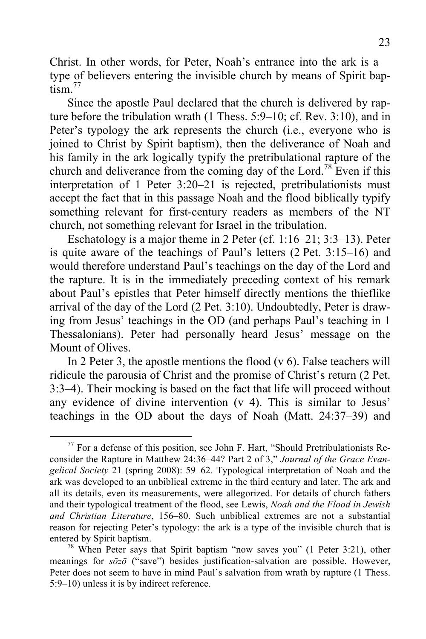Christ. In other words, for Peter, Noah's entrance into the ark is a type of believers entering the invisible church by means of Spirit bap $t$ <sub>ism</sub> $^{77}$ 

Since the apostle Paul declared that the church is delivered by rapture before the tribulation wrath (1 Thess. 5:9–10; cf. Rev. 3:10), and in Peter's typology the ark represents the church (i.e., everyone who is joined to Christ by Spirit baptism), then the deliverance of Noah and his family in the ark logically typify the pretribulational rapture of the church and deliverance from the coming day of the Lord.<sup>78</sup> Even if this interpretation of 1 Peter 3:20–21 is rejected, pretribulationists must accept the fact that in this passage Noah and the flood biblically typify something relevant for first-century readers as members of the NT church, not something relevant for Israel in the tribulation.

Eschatology is a major theme in 2 Peter (cf. 1:16–21; 3:3–13). Peter is quite aware of the teachings of Paul's letters (2 Pet. 3:15–16) and would therefore understand Paul's teachings on the day of the Lord and the rapture. It is in the immediately preceding context of his remark about Paul's epistles that Peter himself directly mentions the thieflike arrival of the day of the Lord (2 Pet. 3:10). Undoubtedly, Peter is drawing from Jesus' teachings in the OD (and perhaps Paul's teaching in 1 Thessalonians). Peter had personally heard Jesus' message on the Mount of Olives.

In 2 Peter 3, the apostle mentions the flood  $(v 6)$ . False teachers will ridicule the parousia of Christ and the promise of Christ's return (2 Pet. 3:3–4). Their mocking is based on the fact that life will proceed without any evidence of divine intervention (v 4). This is similar to Jesus' teachings in the OD about the days of Noah (Matt. 24:37–39) and

 <sup>77</sup> For a defense of this position, see John F. Hart, "Should Pretribulationists Reconsider the Rapture in Matthew 24:36–44? Part 2 of 3," *Journal of the Grace Evangelical Society* 21 (spring 2008): 59–62. Typological interpretation of Noah and the ark was developed to an unbiblical extreme in the third century and later. The ark and all its details, even its measurements, were allegorized. For details of church fathers and their typological treatment of the flood, see Lewis, *Noah and the Flood in Jewish and Christian Literature*, 156–80. Such unbiblical extremes are not a substantial reason for rejecting Peter's typology: the ark is a type of the invisible church that is

entered by Spirit baptism.<br><sup>78</sup> When Peter says that Spirit baptism "now saves you" (1 Peter 3:21), other meanings for *sōzō* ("save") besides justification-salvation are possible. However, Peter does not seem to have in mind Paul's salvation from wrath by rapture (1 Thess. 5:9–10) unless it is by indirect reference.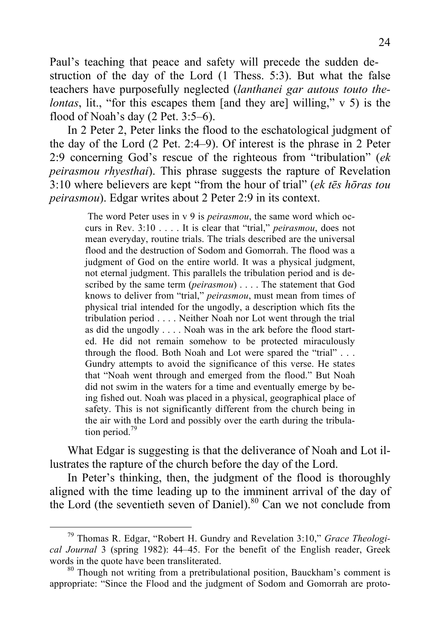Paul's teaching that peace and safety will precede the sudden destruction of the day of the Lord (1 Thess. 5:3). But what the false teachers have purposefully neglected (*lanthanei gar autous touto thelontas*, lit., "for this escapes them [and they are] willing," v 5) is the flood of Noah's day (2 Pet. 3:5–6).

In 2 Peter 2, Peter links the flood to the eschatological judgment of the day of the Lord (2 Pet. 2:4–9). Of interest is the phrase in 2 Peter 2:9 concerning God's rescue of the righteous from "tribulation" (*ek peirasmou rhyesthai*). This phrase suggests the rapture of Revelation 3:10 where believers are kept "from the hour of trial" (*ek tēs hōras tou peirasmou*). Edgar writes about 2 Peter 2:9 in its context.

> The word Peter uses in v 9 is *peirasmou*, the same word which occurs in Rev. 3:10 . . . . It is clear that "trial," *peirasmou*, does not mean everyday, routine trials. The trials described are the universal flood and the destruction of Sodom and Gomorrah. The flood was a judgment of God on the entire world. It was a physical judgment, not eternal judgment. This parallels the tribulation period and is described by the same term (*peirasmou*) . . . . The statement that God knows to deliver from "trial," *peirasmou*, must mean from times of physical trial intended for the ungodly, a description which fits the tribulation period . . . . Neither Noah nor Lot went through the trial as did the ungodly . . . . Noah was in the ark before the flood started. He did not remain somehow to be protected miraculously through the flood. Both Noah and Lot were spared the "trial" . . . Gundry attempts to avoid the significance of this verse. He states that "Noah went through and emerged from the flood." But Noah did not swim in the waters for a time and eventually emerge by being fished out. Noah was placed in a physical, geographical place of safety. This is not significantly different from the church being in the air with the Lord and possibly over the earth during the tribulation period.<sup>79</sup>

What Edgar is suggesting is that the deliverance of Noah and Lot illustrates the rapture of the church before the day of the Lord.

In Peter's thinking, then, the judgment of the flood is thoroughly aligned with the time leading up to the imminent arrival of the day of the Lord (the seventieth seven of Daniel). $80$  Can we not conclude from

 <sup>79</sup> Thomas R. Edgar, "Robert H. Gundry and Revelation 3:10," *Grace Theological Journal* 3 (spring 1982): 44–45. For the benefit of the English reader, Greek words in the quote have been transliterated.<br><sup>80</sup> Though not writing from a pretribulational position, Bauckham's comment is

appropriate: "Since the Flood and the judgment of Sodom and Gomorrah are proto-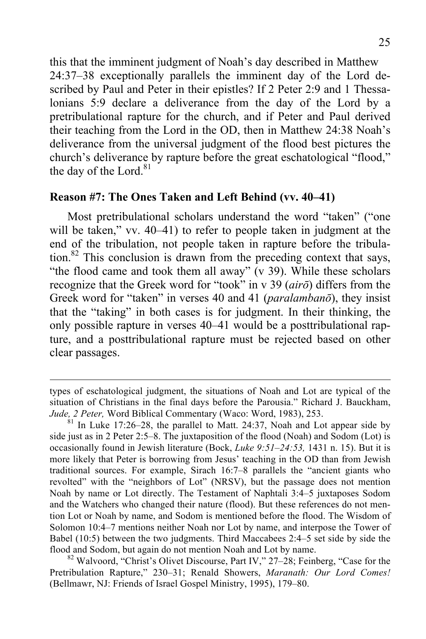this that the imminent judgment of Noah's day described in Matthew 24:37–38 exceptionally parallels the imminent day of the Lord described by Paul and Peter in their epistles? If 2 Peter 2:9 and 1 Thessalonians 5:9 declare a deliverance from the day of the Lord by a pretribulational rapture for the church, and if Peter and Paul derived their teaching from the Lord in the OD, then in Matthew 24:38 Noah's deliverance from the universal judgment of the flood best pictures the church's deliverance by rapture before the great eschatological "flood," the day of the Lord. $81$ 

#### **Reason #7: The Ones Taken and Left Behind (vv. 40–41)**

Most pretribulational scholars understand the word "taken" ("one will be taken," vv. 40–41) to refer to people taken in judgment at the end of the tribulation, not people taken in rapture before the tribulation.<sup>82</sup> This conclusion is drawn from the preceding context that says, "the flood came and took them all away" (v 39). While these scholars recognize that the Greek word for "took" in v 39 (*airō*) differs from the Greek word for "taken" in verses 40 and 41 (*paralambanō*), they insist that the "taking" in both cases is for judgment. In their thinking, the only possible rapture in verses 40–41 would be a posttribulational rapture, and a posttribulational rapture must be rejected based on other clear passages.

 $\overline{a}$ 

types of eschatological judgment, the situations of Noah and Lot are typical of the situation of Christians in the final days before the Parousia." Richard J. Bauckham, *Jude, 2 Peter,* Word Biblical Commentary (Waco: Word, 1983), 253.<br><sup>81</sup> In Luke 17:26–28, the parallel to Matt. 24:37, Noah and Lot appear side by

side just as in 2 Peter 2:5–8. The juxtaposition of the flood (Noah) and Sodom (Lot) is occasionally found in Jewish literature (Bock, *Luke 9:51–24:53,* 1431 n. 15). But it is more likely that Peter is borrowing from Jesus' teaching in the OD than from Jewish traditional sources. For example, Sirach 16:7–8 parallels the "ancient giants who revolted" with the "neighbors of Lot" (NRSV), but the passage does not mention Noah by name or Lot directly. The Testament of Naphtali 3:4–5 juxtaposes Sodom and the Watchers who changed their nature (flood). But these references do not mention Lot or Noah by name, and Sodom is mentioned before the flood. The Wisdom of Solomon 10:4–7 mentions neither Noah nor Lot by name, and interpose the Tower of Babel (10:5) between the two judgments. Third Maccabees 2:4–5 set side by side the flood and Sodom, but again do not mention Noah and Lot by name.<br><sup>82</sup> Walvoord, "Christ's Olivet Discourse, Part IV," 27–28; Feinberg, "Case for the

Pretribulation Rapture," 230–31; Renald Showers, *Maranath: Our Lord Comes!* (Bellmawr, NJ: Friends of Israel Gospel Ministry, 1995), 179–80.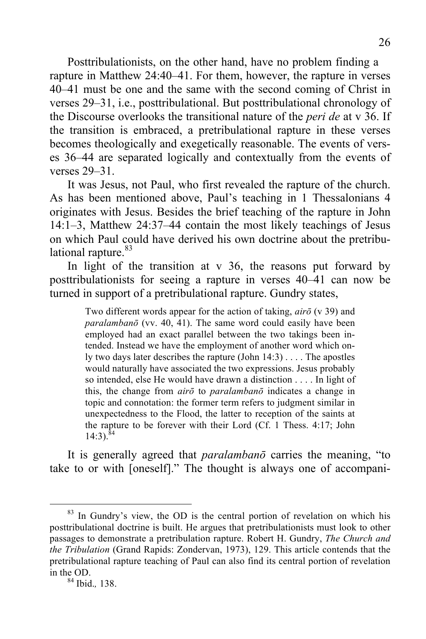Posttribulationists, on the other hand, have no problem finding a rapture in Matthew 24:40–41. For them, however, the rapture in verses 40–41 must be one and the same with the second coming of Christ in verses 29–31, i.e., posttribulational. But posttribulational chronology of the Discourse overlooks the transitional nature of the *peri de* at v 36. If the transition is embraced, a pretribulational rapture in these verses becomes theologically and exegetically reasonable. The events of verses 36–44 are separated logically and contextually from the events of verses 29–31.

It was Jesus, not Paul, who first revealed the rapture of the church. As has been mentioned above, Paul's teaching in 1 Thessalonians 4 originates with Jesus. Besides the brief teaching of the rapture in John 14:1–3, Matthew 24:37–44 contain the most likely teachings of Jesus on which Paul could have derived his own doctrine about the pretribulational rapture.<sup>83</sup>

In light of the transition at  $v$  36, the reasons put forward by posttribulationists for seeing a rapture in verses 40–41 can now be turned in support of a pretribulational rapture. Gundry states,

> Two different words appear for the action of taking, *airō* (v 39) and *paralambanō* (vv. 40, 41). The same word could easily have been employed had an exact parallel between the two takings been intended. Instead we have the employment of another word which only two days later describes the rapture (John 14:3) . . . . The apostles would naturally have associated the two expressions. Jesus probably so intended, else He would have drawn a distinction . . . . In light of this, the change from *airō* to *paralambanō* indicates a change in topic and connotation: the former term refers to judgment similar in unexpectedness to the Flood, the latter to reception of the saints at the rapture to be forever with their Lord (Cf. 1 Thess. 4:17; John  $14:3$ ).<sup>84</sup>

It is generally agreed that *paralambanō* carries the meaning, "to take to or with [oneself]." The thought is always one of accompani-

 $83$  In Gundry's view, the OD is the central portion of revelation on which his posttribulational doctrine is built. He argues that pretribulationists must look to other passages to demonstrate a pretribulation rapture. Robert H. Gundry, *The Church and the Tribulation* (Grand Rapids: Zondervan, 1973), 129. This article contends that the pretribulational rapture teaching of Paul can also find its central portion of revelation in the OD. <sup>84</sup> Ibid.*,* 138.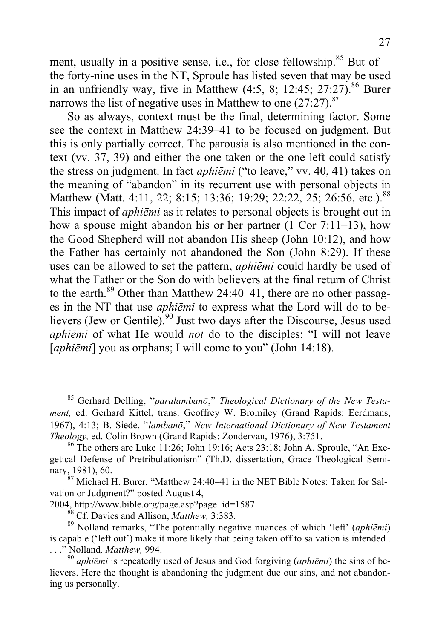ment, usually in a positive sense, i.e., for close fellowship.<sup>85</sup> But of the forty-nine uses in the NT, Sproule has listed seven that may be used in an unfriendly way, five in Matthew  $(4.5, 8; 12.45; 27.27).$ <sup>86</sup> Burer narrows the list of negative uses in Matthew to one  $(27.27)^{87}$ 

So as always, context must be the final, determining factor. Some see the context in Matthew 24:39–41 to be focused on judgment. But this is only partially correct. The parousia is also mentioned in the context (vv. 37, 39) and either the one taken or the one left could satisfy the stress on judgment. In fact *aphiēmi* ("to leave," vv. 40, 41) takes on the meaning of "abandon" in its recurrent use with personal objects in Matthew (Matt. 4:11, 22; 8:15; 13:36; 19:29; 22:22, 25; 26:56, etc.).<sup>88</sup> This impact of *aphiēmi* as it relates to personal objects is brought out in how a spouse might abandon his or her partner  $(1 \text{ Cor } 7:11-13)$ , how the Good Shepherd will not abandon His sheep (John 10:12), and how the Father has certainly not abandoned the Son (John 8:29). If these uses can be allowed to set the pattern, *aphiēmi* could hardly be used of what the Father or the Son do with believers at the final return of Christ to the earth.<sup>89</sup> Other than Matthew 24:40–41, there are no other passages in the NT that use *aphiēmi* to express what the Lord will do to believers (Jew or Gentile).<sup>90</sup> Just two days after the Discourse, Jesus used *aphiēmi* of what He would *not* do to the disciples: "I will not leave [*aphiēmi*] you as orphans; I will come to you" (John 14:18).

 <sup>85</sup> Gerhard Delling, "*paralambanō*," *Theological Dictionary of the New Testament,* ed. Gerhard Kittel, trans. Geoffrey W. Bromiley (Grand Rapids: Eerdmans, 1967), 4:13; B. Siede, "*lambanō*," *New International Dictionary of New Testament Theology,* ed. Colin Brown (Grand Rapids: Zondervan, 1976), 3:751.<br><sup>86</sup> The others are Luke 11:26; John 19:16; Acts 23:18; John A. Sproule, "An Exe-

getical Defense of Pretribulationism" (Th.D. dissertation, Grace Theological Semi-

nary, 1981), 60.<br><sup>87</sup> Michael H. Burer, "Matthew 24:40–41 in the NET Bible Notes: Taken for Salvation or Judgment?" posted August 4,

<sup>2004,</sup> http://www.bible.org/page.asp?page\_id=1587.<br><sup>88</sup> Cf. Davies and Allison, *Matthew*, 3:383.<br><sup>89</sup> Nolland remarks, "The potentially negative nuances of which 'left' (*aphiēmi*) is capable ('left out') make it more likely that being taken off to salvation is intended . . . " Nolland,  $\textit{Matthew}$ , 994.

<sup>&</sup>lt;sup>90</sup> aphiēmi is repeatedly used of Jesus and God forgiving (*aphiēmi*) the sins of believers. Here the thought is abandoning the judgment due our sins, and not abandoning us personally.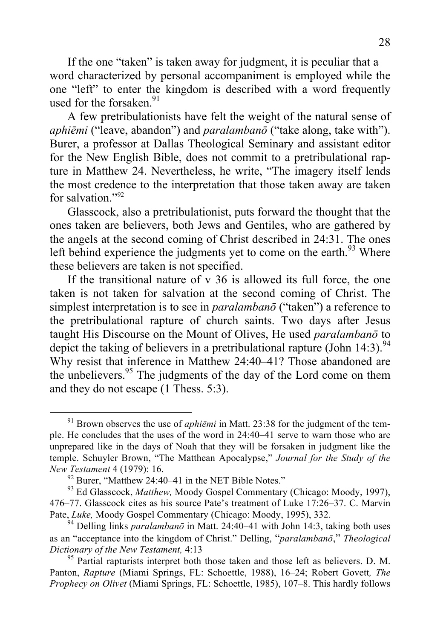If the one "taken" is taken away for judgment, it is peculiar that a word characterized by personal accompaniment is employed while the one "left" to enter the kingdom is described with a word frequently used for the forsaken  $91$ 

A few pretribulationists have felt the weight of the natural sense of *aphiēmi* ("leave, abandon") and *paralambanō* ("take along, take with"). Burer, a professor at Dallas Theological Seminary and assistant editor for the New English Bible, does not commit to a pretribulational rapture in Matthew 24. Nevertheless, he write, "The imagery itself lends the most credence to the interpretation that those taken away are taken for salvation<sup> $"92$ </sup>

Glasscock, also a pretribulationist, puts forward the thought that the ones taken are believers, both Jews and Gentiles, who are gathered by the angels at the second coming of Christ described in 24:31. The ones left behind experience the judgments yet to come on the earth.<sup>93</sup> Where these believers are taken is not specified.

If the transitional nature of v 36 is allowed its full force, the one taken is not taken for salvation at the second coming of Christ. The simplest interpretation is to see in *paralambanō* ("taken") a reference to the pretribulational rapture of church saints. Two days after Jesus taught His Discourse on the Mount of Olives, He used *paralambanō* to depict the taking of believers in a pretribulational rapture (John 14:3).<sup>94</sup> Why resist that inference in Matthew 24:40–41? Those abandoned are the unbelievers.<sup>95</sup> The judgments of the day of the Lord come on them and they do not escape (1 Thess. 5:3).

<sup>&</sup>lt;sup>91</sup> Brown observes the use of *aphiēmi* in Matt. 23:38 for the judgment of the temple. He concludes that the uses of the word in 24:40–41 serve to warn those who are unprepared like in the days of Noah that they will be forsaken in judgment like the temple. Schuyler Brown, "The Matthean Apocalypse," *Journal for the Study of the* 

*New Testament* 4 (1979): 16.<br><sup>92</sup> Burer, "Matthew 24:40–41 in the NET Bible Notes." <sup>93</sup> Ed Glasscock, *Matthew*, Moody Gospel Commentary (Chicago: Moody, 1997), 476–77. Glasscock cites as his source Pate's treatment of Luke 17:26–37. C. Marvin Pate, *Luke*, Moody Gospel Commentary (Chicago: Moody, 1995), 332.<br><sup>94</sup> Delling links *paralambanō* in Matt. 24:40–41 with John 14:3, taking both uses

as an "acceptance into the kingdom of Christ." Delling, "*paralambanō*," *Theological Dictionary of the New Testament,* 4:13 <sup>95</sup> Partial rapturists interpret both those taken and those left as believers. D. M.

Panton, *Rapture* (Miami Springs, FL: Schoettle, 1988), 16–24; Robert Govett*, The Prophecy on Olivet* (Miami Springs, FL: Schoettle, 1985), 107–8. This hardly follows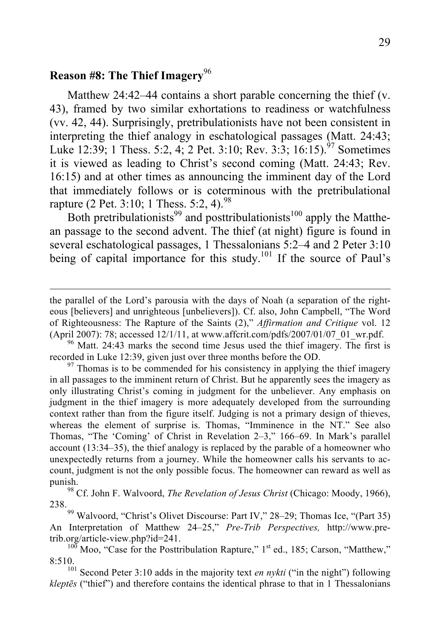# **Reason #8: The Thief Imagery**<sup>96</sup>

Matthew 24:42–44 contains a short parable concerning the thief (v. 43), framed by two similar exhortations to readiness or watchfulness (vv. 42, 44). Surprisingly, pretribulationists have not been consistent in interpreting the thief analogy in eschatological passages (Matt. 24:43; Luke 12:39; 1 Thess. 5:2, 4; 2 Pet. 3:10; Rev. 3:3; 16:15).<sup>97</sup> Sometimes it is viewed as leading to Christ's second coming (Matt. 24:43; Rev. 16:15) and at other times as announcing the imminent day of the Lord that immediately follows or is coterminous with the pretribulational rapture (2 Pet. 3:10; 1 Thess. 5:2, 4).<sup>98</sup>

Both pretribulationists<sup>99</sup> and posttribulationists<sup>100</sup> apply the Matthean passage to the second advent. The thief (at night) figure is found in several eschatological passages, 1 Thessalonians 5:2–4 and 2 Peter 3:10 being of capital importance for this study.<sup>101</sup> If the source of Paul's

the parallel of the Lord's parousia with the days of Noah (a separation of the righteous [believers] and unrighteous [unbelievers]). Cf. also, John Campbell, "The Word of Righteousness: The Rapture of the Saints (2)," *Affirmation and Critique* vol. 12 (April 2007): 78; accessed 12/1/11, at www.affcrit.com/pdfs/2007/01/07\_01\_wr.pdf. 96 Matt. 24:43 marks the second time Jesus used the thief imagery. The first is

recorded in Luke 12:39, given just over three months before the OD.  $\frac{97}{100}$  Thomas is to be commended for his consistency in applying the thief imagery

in all passages to the imminent return of Christ. But he apparently sees the imagery as only illustrating Christ's coming in judgment for the unbeliever. Any emphasis on judgment in the thief imagery is more adequately developed from the surrounding context rather than from the figure itself. Judging is not a primary design of thieves, whereas the element of surprise is. Thomas, "Imminence in the NT." See also Thomas, "The 'Coming' of Christ in Revelation 2–3," 166–69. In Mark's parallel account (13:34–35), the thief analogy is replaced by the parable of a homeowner who unexpectedly returns from a journey. While the homeowner calls his servants to account, judgment is not the only possible focus. The homeowner can reward as well as

punish. <sup>98</sup> Cf. John F. Walvoord, *The Revelation of Jesus Christ* (Chicago: Moody, 1966), 238.99 Walvoord, "Christ's Olivet Discourse: Part IV," 28–29; Thomas Ice, "(Part 35)

An Interpretation of Matthew 24–25," *Pre-Trib Perspectives,* http://www.pretrib.org/article-view.php?id=241.<br><sup>100</sup> Moo, "Case for the Posttribulation Rapture," 1<sup>st</sup> ed., 185; Carson, "Matthew,"

<sup>8:510.</sup> <sup>101</sup> Second Peter 3:10 adds in the majority text *en nykti* ("in the night") following

*kleptēs* ("thief") and therefore contains the identical phrase to that in 1 Thessalonians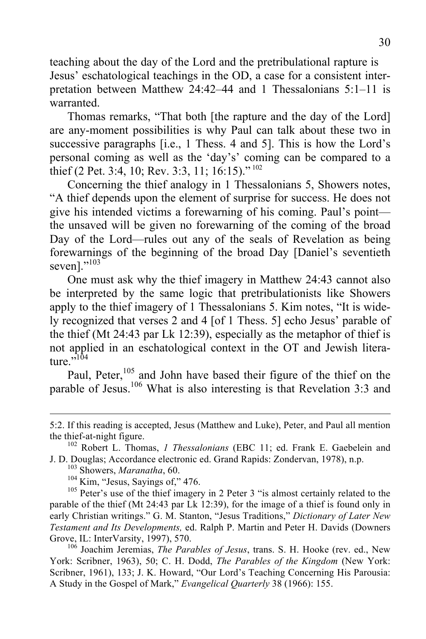teaching about the day of the Lord and the pretribulational rapture is Jesus' eschatological teachings in the OD, a case for a consistent interpretation between Matthew 24:42–44 and 1 Thessalonians 5:1–11 is warranted.

Thomas remarks, "That both [the rapture and the day of the Lord] are any-moment possibilities is why Paul can talk about these two in successive paragraphs [i.e., 1 Thess. 4 and 5]. This is how the Lord's personal coming as well as the 'day's' coming can be compared to a thief (2 Pet. 3:4, 10; Rev. 3:3, 11; 16:15)." <sup>102</sup>

Concerning the thief analogy in 1 Thessalonians 5, Showers notes, "A thief depends upon the element of surprise for success. He does not give his intended victims a forewarning of his coming. Paul's point the unsaved will be given no forewarning of the coming of the broad Day of the Lord—rules out any of the seals of Revelation as being forewarnings of the beginning of the broad Day [Daniel's seventieth seven]."<sup>103</sup>

One must ask why the thief imagery in Matthew 24:43 cannot also be interpreted by the same logic that pretribulationists like Showers apply to the thief imagery of 1 Thessalonians 5. Kim notes, "It is widely recognized that verses 2 and 4 [of 1 Thess. 5] echo Jesus' parable of the thief (Mt 24:43 par Lk 12:39), especially as the metaphor of thief is not applied in an eschatological context in the OT and Jewish literature. $\frac{104}{ }$ 

Paul, Peter, $105$  and John have based their figure of the thief on the parable of Jesus.<sup>106</sup> What is also interesting is that Revelation 3:3 and

York: Scribner, 1963), 50; C. H. Dodd, *The Parables of the Kingdom* (New York: Scribner, 1961), 133; J. K. Howard, "Our Lord's Teaching Concerning His Parousia: A Study in the Gospel of Mark," *Evangelical Quarterly* 38 (1966): 155.

 <sup>5:2.</sup> If this reading is accepted, Jesus (Matthew and Luke), Peter, and Paul all mention the thief-at-night figure. <sup>102</sup> Robert L. Thomas, *1 Thessalonians* (EBC 11; ed. Frank E. Gaebelein and

J. D. Douglas; Accordance electronic ed. Grand Rapids: Zondervan, 1978), n.p.<br>
<sup>103</sup> Showers, *Maranatha*, 60.<br>
<sup>104</sup> Kim, "Jesus, Sayings of," 476.<br>
<sup>105</sup> Peter's use of the thief imagery in 2 Peter 3 "is almost certainl

parable of the thief (Mt 24:43 par Lk 12:39), for the image of a thief is found only in early Christian writings." G. M. Stanton, "Jesus Traditions," *Dictionary of Later New Testament and Its Developments,* ed. Ralph P. Martin and Peter H. Davids (Downers Grove, IL: InterVarsity, 1997), 570.<br><sup>106</sup> Joachim Jeremias, *The Parables of Jesus*, trans. S. H. Hooke (rev. ed., New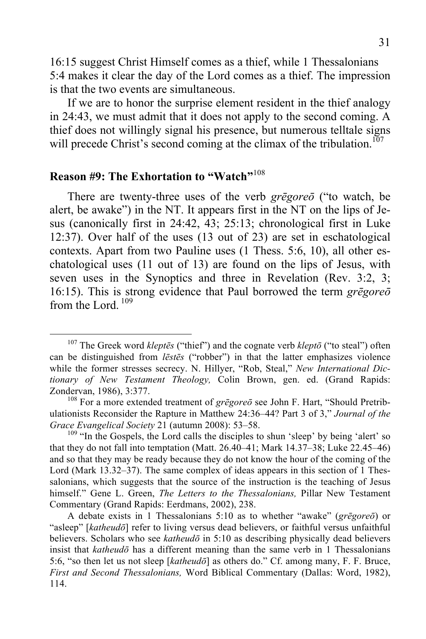16:15 suggest Christ Himself comes as a thief, while 1 Thessalonians 5:4 makes it clear the day of the Lord comes as a thief. The impression is that the two events are simultaneous.

If we are to honor the surprise element resident in the thief analogy in 24:43, we must admit that it does not apply to the second coming. A thief does not willingly signal his presence, but numerous telltale signs will precede Christ's second coming at the climax of the tribulation.<sup>107</sup>

### **Reason #9: The Exhortation to "Watch"**<sup>108</sup>

There are twenty-three uses of the verb *grēgoreō* ("to watch, be alert, be awake") in the NT. It appears first in the NT on the lips of Jesus (canonically first in 24:42, 43; 25:13; chronological first in Luke 12:37). Over half of the uses (13 out of 23) are set in eschatological contexts. Apart from two Pauline uses (1 Thess. 5:6, 10), all other eschatological uses (11 out of 13) are found on the lips of Jesus, with seven uses in the Synoptics and three in Revelation (Rev. 3:2, 3; 16:15). This is strong evidence that Paul borrowed the term *grēgoreō* from the Lord.<sup>109</sup>

 <sup>107</sup> The Greek word *kleptē<sup>s</sup>* ("thief") and the cognate verb *klept<sup>ō</sup>* ("to steal") often can be distinguished from *lēstēs* ("robber") in that the latter emphasizes violence while the former stresses secrecy. N. Hillyer, "Rob, Steal," *New International Dictionary of New Testament Theology,* Colin Brown, gen. ed. (Grand Rapids: Zondervan, 1986), 3:377.<br><sup>108</sup> For a more extended treatment of *grēgoreō* see John F. Hart, "Should Pretrib-

ulationists Reconsider the Rapture in Matthew 24:36–44? Part 3 of 3," *Journal of the Grace Evangelical Society* 21 (autumn 2008): 53–58.<br><sup>109</sup> "In the Gospels, the Lord calls the disciples to shun 'sleep' by being 'alert' so

that they do not fall into temptation (Matt. 26.40–41; Mark 14.37–38; Luke 22.45–46) and so that they may be ready because they do not know the hour of the coming of the Lord (Mark 13.32–37). The same complex of ideas appears in this section of 1 Thessalonians, which suggests that the source of the instruction is the teaching of Jesus himself." Gene L. Green, *The Letters to the Thessalonians,* Pillar New Testament Commentary (Grand Rapids: Eerdmans, 2002), 238.

A debate exists in 1 Thessalonians 5:10 as to whether "awake" (*grēgoreō*) or "asleep" [*katheudō*] refer to living versus dead believers, or faithful versus unfaithful believers. Scholars who see *katheudō* in 5:10 as describing physically dead believers insist that *katheudō* has a different meaning than the same verb in 1 Thessalonians 5:6, "so then let us not sleep [*katheudō*] as others do." Cf. among many, F. F. Bruce, *First and Second Thessalonians,* Word Biblical Commentary (Dallas: Word, 1982), 114.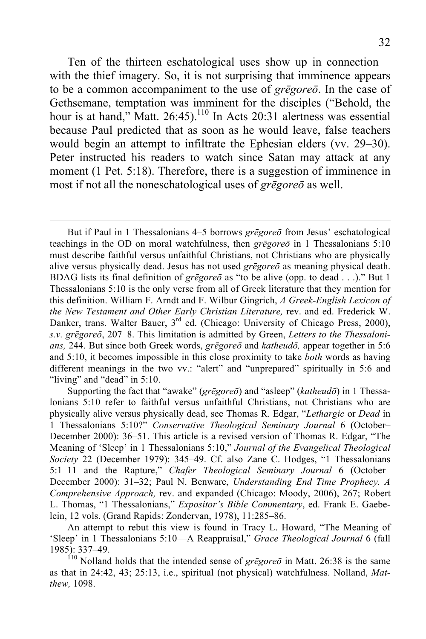Ten of the thirteen eschatological uses show up in connection with the thief imagery. So, it is not surprising that imminence appears to be a common accompaniment to the use of *grēgoreō*. In the case of Gethsemane, temptation was imminent for the disciples ("Behold, the hour is at hand," Matt.  $26:45$ ).<sup>110</sup> In Acts 20:31 alertness was essential because Paul predicted that as soon as he would leave, false teachers would begin an attempt to infiltrate the Ephesian elders (vv. 29–30). Peter instructed his readers to watch since Satan may attack at any moment (1 Pet. 5:18). Therefore, there is a suggestion of imminence in most if not all the noneschatological uses of *grēgoreō* as well.

 $\overline{a}$ 

But if Paul in 1 Thessalonians 4–5 borrows *grēgoreō* from Jesus' eschatological teachings in the OD on moral watchfulness, then *grēgoreō* in 1 Thessalonians 5:10 must describe faithful versus unfaithful Christians, not Christians who are physically alive versus physically dead. Jesus has not used *grēgoreō* as meaning physical death. BDAG lists its final definition of *grēgoreō* as "to be alive (opp. to dead . . .)." But 1 Thessalonians 5:10 is the only verse from all of Greek literature that they mention for this definition. William F. Arndt and F. Wilbur Gingrich, *A Greek-English Lexicon of the New Testament and Other Early Christian Literature,* rev. and ed. Frederick W. Danker, trans. Walter Bauer, 3<sup>rd</sup> ed. (Chicago: University of Chicago Press, 2000), *s.v. grēgoreō*, 207–8. This limitation is admitted by Green, *Letters to the Thessalonians,* 244. But since both Greek words, *grēgoreō* and *katheudō,* appear together in 5:6 and 5:10, it becomes impossible in this close proximity to take *both* words as having different meanings in the two vv.: "alert" and "unprepared" spiritually in 5:6 and "living" and "dead" in 5:10.

Supporting the fact that "awake" (*grēgoreō*) and "asleep" (*katheudō*) in 1 Thessalonians 5:10 refer to faithful versus unfaithful Christians, not Christians who are physically alive versus physically dead, see Thomas R. Edgar, "*Lethargic* or *Dead* in 1 Thessalonians 5:10?" *Conservative Theological Seminary Journal* 6 (October– December 2000): 36–51. This article is a revised version of Thomas R. Edgar, "The Meaning of 'Sleep' in 1 Thessalonians 5:10," *Journal of the Evangelical Theological Society* 22 (December 1979): 345–49. Cf. also Zane C. Hodges, "1 Thessalonians 5:1–11 and the Rapture," *Chafer Theological Seminary Journal* 6 (October– December 2000): 31–32; Paul N. Benware, *Understanding End Time Prophecy. A Comprehensive Approach,* rev. and expanded (Chicago: Moody, 2006), 267; Robert L. Thomas, "1 Thessalonians," *Expositor's Bible Commentary*, ed. Frank E. Gaebelein, 12 vols. (Grand Rapids: Zondervan, 1978), 11:285–86.

An attempt to rebut this view is found in Tracy L. Howard, "The Meaning of 'Sleep' in 1 Thessalonians 5:10—A Reappraisal," *Grace Theological Journal* 6 (fall

<sup>1985): 337–49.</sup> <sup>110</sup> Nolland holds that the intended sense of *grēgore<sup>ō</sup>* in Matt. 26:38 is the same as that in 24:42, 43; 25:13, i.e., spiritual (not physical) watchfulness. Nolland, *Matthew,* 1098.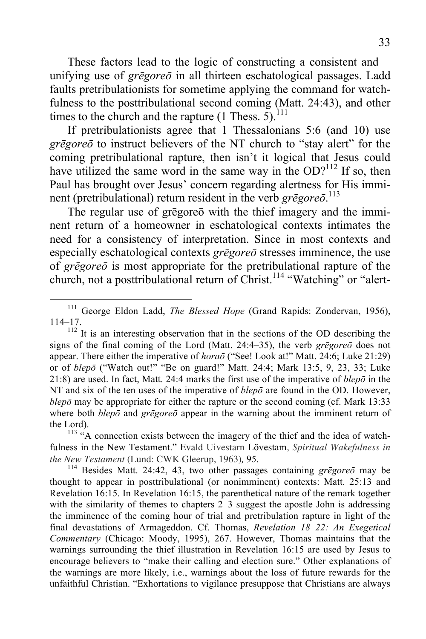These factors lead to the logic of constructing a consistent and unifying use of *grēgoreō* in all thirteen eschatological passages. Ladd faults pretribulationists for sometime applying the command for watchfulness to the posttribulational second coming (Matt. 24:43), and other times to the church and the rapture  $(1 \text{ Thess. } 5)$ .<sup>111</sup>

If pretribulationists agree that 1 Thessalonians 5:6 (and 10) use *grēgoreō* to instruct believers of the NT church to "stay alert" for the coming pretribulational rapture, then isn't it logical that Jesus could have utilized the same word in the same way in the  $OD?^{112}$  If so, then Paul has brought over Jesus' concern regarding alertness for His imminent (pretribulational) return resident in the verb *grēgoreō*. 113

The regular use of grēgoreō with the thief imagery and the imminent return of a homeowner in eschatological contexts intimates the need for a consistency of interpretation. Since in most contexts and especially eschatological contexts *grēgoreō* stresses imminence, the use of *grēgoreō* is most appropriate for the pretribulational rapture of the church, not a posttribulational return of Christ.<sup>114</sup> "Watching" or "alert-

<sup>&</sup>lt;sup>111</sup> George Eldon Ladd, *The Blessed Hope* (Grand Rapids: Zondervan, 1956), 114–17.

<sup>&</sup>lt;sup>112</sup> It is an interesting observation that in the sections of the OD describing the signs of the final coming of the Lord (Matt. 24:4–35), the verb *grēgoreō* does not appear. There either the imperative of *horaō* ("See! Look at!" Matt. 24:6; Luke 21:29) or of *blepō* ("Watch out!" "Be on guard!" Matt. 24:4; Mark 13:5, 9, 23, 33; Luke 21:8) are used. In fact, Matt. 24:4 marks the first use of the imperative of *blepō* in the NT and six of the ten uses of the imperative of *blepō* are found in the OD. However, *blepō* may be appropriate for either the rapture or the second coming (cf. Mark 13:33 where both *blepō* and *grēgoreō* appear in the warning about the imminent return of

the Lord).<br><sup>113</sup> "A connection exists between the imagery of the thief and the idea of watchfulness in the New Testament." Evald Uivestarn Lövestam, *Spiritual Wakefulness in the New Testament* (Lund: CWK Gleerup, 1963)*,* 95. <sup>114</sup> Besides Matt. 24:42, 43, two other passages containing *grēgore<sup>ō</sup>* may be

thought to appear in posttribulational (or nonimminent) contexts: Matt. 25:13 and Revelation 16:15. In Revelation 16:15, the parenthetical nature of the remark together with the similarity of themes to chapters 2–3 suggest the apostle John is addressing the imminence of the coming hour of trial and pretribulation rapture in light of the final devastations of Armageddon. Cf. Thomas, *Revelation 18–22: An Exegetical Commentary* (Chicago: Moody, 1995), 267. However, Thomas maintains that the warnings surrounding the thief illustration in Revelation 16:15 are used by Jesus to encourage believers to "make their calling and election sure." Other explanations of the warnings are more likely, i.e., warnings about the loss of future rewards for the unfaithful Christian. "Exhortations to vigilance presuppose that Christians are always